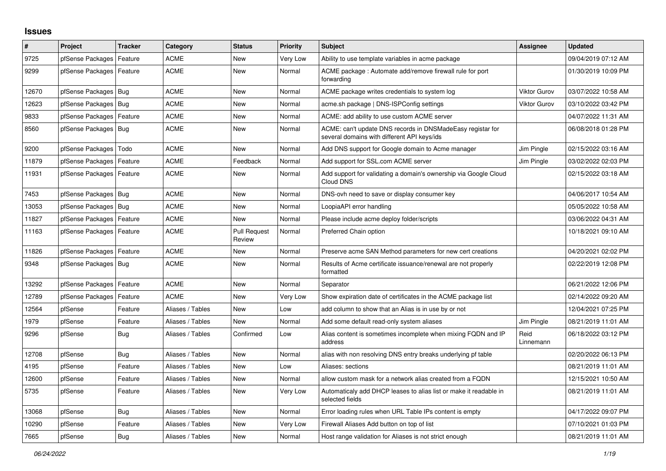## **Issues**

| #     | Project                    | <b>Tracker</b> | Category         | <b>Status</b>                 | <b>Priority</b> | <b>Subject</b>                                                                                            | Assignee            | <b>Updated</b>      |
|-------|----------------------------|----------------|------------------|-------------------------------|-----------------|-----------------------------------------------------------------------------------------------------------|---------------------|---------------------|
| 9725  | pfSense Packages           | Feature        | ACME             | <b>New</b>                    | Very Low        | Ability to use template variables in acme package                                                         |                     | 09/04/2019 07:12 AM |
| 9299  | pfSense Packages   Feature |                | <b>ACME</b>      | New                           | Normal          | ACME package: Automate add/remove firewall rule for port<br>forwarding                                    |                     | 01/30/2019 10:09 PM |
| 12670 | pfSense Packages           | Bug            | <b>ACME</b>      | New                           | Normal          | ACME package writes credentials to system log                                                             | <b>Viktor Gurov</b> | 03/07/2022 10:58 AM |
| 12623 | pfSense Packages   Bug     |                | <b>ACME</b>      | <b>New</b>                    | Normal          | acme.sh package   DNS-ISPConfig settings                                                                  | <b>Viktor Gurov</b> | 03/10/2022 03:42 PM |
| 9833  | pfSense Packages           | Feature        | ACME             | New                           | Normal          | ACME: add ability to use custom ACME server                                                               |                     | 04/07/2022 11:31 AM |
| 8560  | pfSense Packages           | Bug            | <b>ACME</b>      | New                           | Normal          | ACME: can't update DNS records in DNSMadeEasy registar for<br>several domains with different API keys/ids |                     | 06/08/2018 01:28 PM |
| 9200  | pfSense Packages   Todo    |                | <b>ACME</b>      | New                           | Normal          | Add DNS support for Google domain to Acme manager                                                         | Jim Pingle          | 02/15/2022 03:16 AM |
| 11879 | pfSense Packages           | Feature        | ACME             | Feedback                      | Normal          | Add support for SSL.com ACME server                                                                       | Jim Pingle          | 03/02/2022 02:03 PM |
| 11931 | pfSense Packages   Feature |                | <b>ACME</b>      | New                           | Normal          | Add support for validating a domain's ownership via Google Cloud<br>Cloud DNS                             |                     | 02/15/2022 03:18 AM |
| 7453  | pfSense Packages   Bug     |                | <b>ACME</b>      | <b>New</b>                    | Normal          | DNS-ovh need to save or display consumer key                                                              |                     | 04/06/2017 10:54 AM |
| 13053 | pfSense Packages   Bug     |                | ACME             | New                           | Normal          | LoopiaAPI error handling                                                                                  |                     | 05/05/2022 10:58 AM |
| 11827 | pfSense Packages           | Feature        | <b>ACME</b>      | New                           | Normal          | Please include acme deploy folder/scripts                                                                 |                     | 03/06/2022 04:31 AM |
| 11163 | pfSense Packages   Feature |                | <b>ACME</b>      | <b>Pull Request</b><br>Review | Normal          | Preferred Chain option                                                                                    |                     | 10/18/2021 09:10 AM |
| 11826 | pfSense Packages   Feature |                | ACME             | New                           | Normal          | Preserve acme SAN Method parameters for new cert creations                                                |                     | 04/20/2021 02:02 PM |
| 9348  | pfSense Packages   Bug     |                | <b>ACME</b>      | <b>New</b>                    | Normal          | Results of Acme certificate issuance/renewal are not properly<br>formatted                                |                     | 02/22/2019 12:08 PM |
| 13292 | pfSense Packages           | Feature        | ACME             | <b>New</b>                    | Normal          | Separator                                                                                                 |                     | 06/21/2022 12:06 PM |
| 12789 | pfSense Packages           | Feature        | <b>ACME</b>      | New                           | Very Low        | Show expiration date of certificates in the ACME package list                                             |                     | 02/14/2022 09:20 AM |
| 12564 | pfSense                    | Feature        | Aliases / Tables | New                           | Low             | add column to show that an Alias is in use by or not                                                      |                     | 12/04/2021 07:25 PM |
| 1979  | pfSense                    | Feature        | Aliases / Tables | <b>New</b>                    | Normal          | Add some default read-only system aliases                                                                 | Jim Pingle          | 08/21/2019 11:01 AM |
| 9296  | pfSense                    | Bug            | Aliases / Tables | Confirmed                     | Low             | Alias content is sometimes incomplete when mixing FQDN and IP<br>address                                  | Reid<br>Linnemann   | 06/18/2022 03:12 PM |
| 12708 | pfSense                    | Bug            | Aliases / Tables | New                           | Normal          | alias with non resolving DNS entry breaks underlying pf table                                             |                     | 02/20/2022 06:13 PM |
| 4195  | pfSense                    | Feature        | Aliases / Tables | New                           | Low             | Aliases: sections                                                                                         |                     | 08/21/2019 11:01 AM |
| 12600 | pfSense                    | Feature        | Aliases / Tables | New                           | Normal          | allow custom mask for a network alias created from a FQDN                                                 |                     | 12/15/2021 10:50 AM |
| 5735  | pfSense                    | Feature        | Aliases / Tables | New                           | Very Low        | Automaticaly add DHCP leases to alias list or make it readable in<br>selected fields                      |                     | 08/21/2019 11:01 AM |
| 13068 | pfSense                    | Bug            | Aliases / Tables | New                           | Normal          | Error loading rules when URL Table IPs content is empty                                                   |                     | 04/17/2022 09:07 PM |
| 10290 | pfSense                    | Feature        | Aliases / Tables | New                           | Very Low        | Firewall Aliases Add button on top of list                                                                |                     | 07/10/2021 01:03 PM |
| 7665  | pfSense                    | Bug            | Aliases / Tables | New                           | Normal          | Host range validation for Aliases is not strict enough                                                    |                     | 08/21/2019 11:01 AM |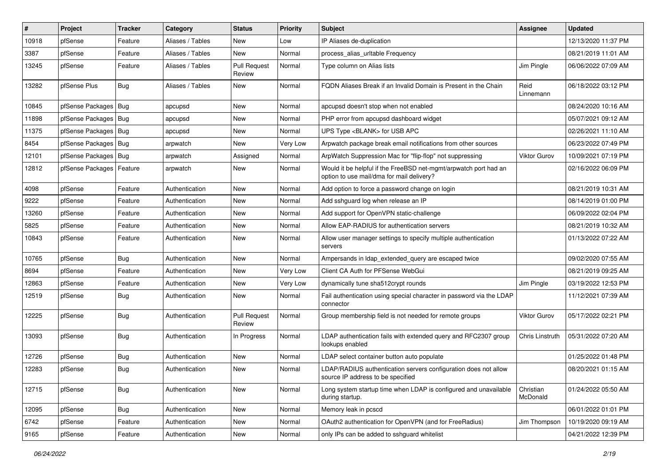| ∦     | Project                    | Tracker    | Category         | <b>Status</b>                 | <b>Priority</b> | <b>Subject</b>                                                                                                | Assignee              | <b>Updated</b>      |
|-------|----------------------------|------------|------------------|-------------------------------|-----------------|---------------------------------------------------------------------------------------------------------------|-----------------------|---------------------|
| 10918 | pfSense                    | Feature    | Aliases / Tables | New                           | Low             | IP Aliases de-duplication                                                                                     |                       | 12/13/2020 11:37 PM |
| 3387  | pfSense                    | Feature    | Aliases / Tables | New                           | Normal          | process alias urltable Frequency                                                                              |                       | 08/21/2019 11:01 AM |
| 13245 | pfSense                    | Feature    | Aliases / Tables | <b>Pull Request</b><br>Review | Normal          | Type column on Alias lists                                                                                    | Jim Pingle            | 06/06/2022 07:09 AM |
| 13282 | pfSense Plus               | Bug        | Aliases / Tables | New                           | Normal          | FQDN Aliases Break if an Invalid Domain is Present in the Chain                                               | Reid<br>Linnemann     | 06/18/2022 03:12 PM |
| 10845 | pfSense Packages   Bug     |            | apcupsd          | New                           | Normal          | apcupsd doesn't stop when not enabled                                                                         |                       | 08/24/2020 10:16 AM |
| 11898 | pfSense Packages   Bug     |            | apcupsd          | New                           | Normal          | PHP error from apcupsd dashboard widget                                                                       |                       | 05/07/2021 09:12 AM |
| 11375 | pfSense Packages   Bug     |            | apcupsd          | New                           | Normal          | UPS Type <blank> for USB APC</blank>                                                                          |                       | 02/26/2021 11:10 AM |
| 8454  | pfSense Packages   Bug     |            | arpwatch         | New                           | <b>Very Low</b> | Arpwatch package break email notifications from other sources                                                 |                       | 06/23/2022 07:49 PM |
| 12101 | pfSense Packages   Bug     |            | arpwatch         | Assigned                      | Normal          | ArpWatch Suppression Mac for "flip-flop" not suppressing                                                      | <b>Viktor Gurov</b>   | 10/09/2021 07:19 PM |
| 12812 | pfSense Packages   Feature |            | arpwatch         | New                           | Normal          | Would it be helpful if the FreeBSD net-mgmt/arpwatch port had an<br>option to use mail/dma for mail delivery? |                       | 02/16/2022 06:09 PM |
| 4098  | pfSense                    | Feature    | Authentication   | New                           | Normal          | Add option to force a password change on login                                                                |                       | 08/21/2019 10:31 AM |
| 9222  | pfSense                    | Feature    | Authentication   | New                           | Normal          | Add sshguard log when release an IP                                                                           |                       | 08/14/2019 01:00 PM |
| 13260 | pfSense                    | Feature    | Authentication   | New                           | Normal          | Add support for OpenVPN static-challenge                                                                      |                       | 06/09/2022 02:04 PM |
| 5825  | pfSense                    | Feature    | Authentication   | New                           | Normal          | Allow EAP-RADIUS for authentication servers                                                                   |                       | 08/21/2019 10:32 AM |
| 10843 | pfSense                    | Feature    | Authentication   | New                           | Normal          | Allow user manager settings to specify multiple authentication<br>servers                                     |                       | 01/13/2022 07:22 AM |
| 10765 | pfSense                    | Bug        | Authentication   | New                           | Normal          | Ampersands in Idap_extended_query are escaped twice                                                           |                       | 09/02/2020 07:55 AM |
| 8694  | pfSense                    | Feature    | Authentication   | New                           | Very Low        | Client CA Auth for PFSense WebGui                                                                             |                       | 08/21/2019 09:25 AM |
| 12863 | pfSense                    | Feature    | Authentication   | New                           | Very Low        | dynamically tune sha512crypt rounds                                                                           | Jim Pingle            | 03/19/2022 12:53 PM |
| 12519 | pfSense                    | <b>Bug</b> | Authentication   | New                           | Normal          | Fail authentication using special character in password via the LDAP<br>connector                             |                       | 11/12/2021 07:39 AM |
| 12225 | pfSense                    | Bug        | Authentication   | <b>Pull Request</b><br>Review | Normal          | Group membership field is not needed for remote groups                                                        | <b>Viktor Gurov</b>   | 05/17/2022 02:21 PM |
| 13093 | pfSense                    | <b>Bug</b> | Authentication   | In Progress                   | Normal          | LDAP authentication fails with extended query and RFC2307 group<br>lookups enabled                            | Chris Linstruth       | 05/31/2022 07:20 AM |
| 12726 | pfSense                    | Bug        | Authentication   | <b>New</b>                    | Normal          | LDAP select container button auto populate                                                                    |                       | 01/25/2022 01:48 PM |
| 12283 | pfSense                    | Bug        | Authentication   | New                           | Normal          | LDAP/RADIUS authentication servers configuration does not allow<br>source IP address to be specified          |                       | 08/20/2021 01:15 AM |
| 12715 | pfSense                    | <b>Bug</b> | Authentication   | New                           | Normal          | Long system startup time when LDAP is configured and unavailable<br>during startup.                           | Christian<br>McDonald | 01/24/2022 05:50 AM |
| 12095 | pfSense                    | <b>Bug</b> | Authentication   | <b>New</b>                    | Normal          | Memory leak in pcscd                                                                                          |                       | 06/01/2022 01:01 PM |
| 6742  | pfSense                    | Feature    | Authentication   | New                           | Normal          | OAuth2 authentication for OpenVPN (and for FreeRadius)                                                        | Jim Thompson          | 10/19/2020 09:19 AM |
| 9165  | pfSense                    | Feature    | Authentication   | New                           | Normal          | only IPs can be added to sshguard whitelist                                                                   |                       | 04/21/2022 12:39 PM |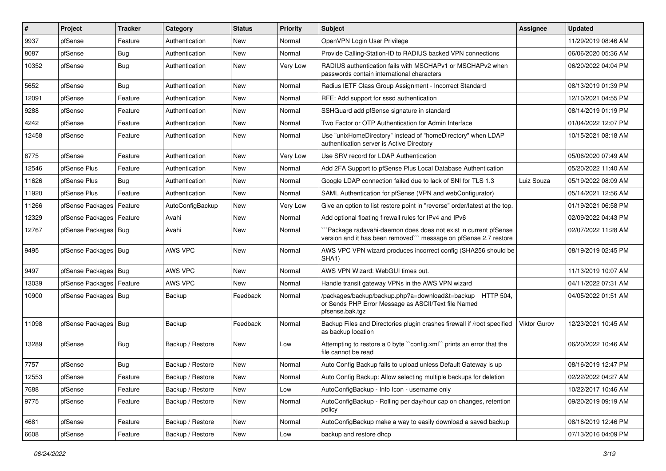| #     | Project                    | <b>Tracker</b> | Category         | <b>Status</b> | <b>Priority</b> | <b>Subject</b>                                                                                                                      | <b>Assignee</b>     | <b>Updated</b>      |
|-------|----------------------------|----------------|------------------|---------------|-----------------|-------------------------------------------------------------------------------------------------------------------------------------|---------------------|---------------------|
| 9937  | pfSense                    | Feature        | Authentication   | New           | Normal          | OpenVPN Login User Privilege                                                                                                        |                     | 11/29/2019 08:46 AM |
| 8087  | pfSense                    | <b>Bug</b>     | Authentication   | New           | Normal          | Provide Calling-Station-ID to RADIUS backed VPN connections                                                                         |                     | 06/06/2020 05:36 AM |
| 10352 | pfSense                    | Bug            | Authentication   | New           | Very Low        | RADIUS authentication fails with MSCHAPv1 or MSCHAPv2 when<br>passwords contain international characters                            |                     | 06/20/2022 04:04 PM |
| 5652  | pfSense                    | <b>Bug</b>     | Authentication   | New           | Normal          | Radius IETF Class Group Assignment - Incorrect Standard                                                                             |                     | 08/13/2019 01:39 PM |
| 12091 | pfSense                    | Feature        | Authentication   | New           | Normal          | RFE: Add support for sssd authentication                                                                                            |                     | 12/10/2021 04:55 PM |
| 9288  | pfSense                    | Feature        | Authentication   | New           | Normal          | SSHGuard add pfSense signature in standard                                                                                          |                     | 08/14/2019 01:19 PM |
| 4242  | pfSense                    | Feature        | Authentication   | New           | Normal          | Two Factor or OTP Authentication for Admin Interface                                                                                |                     | 01/04/2022 12:07 PM |
| 12458 | pfSense                    | Feature        | Authentication   | New           | Normal          | Use "unixHomeDirectory" instead of "homeDirectory" when LDAP<br>authentication server is Active Directory                           |                     | 10/15/2021 08:18 AM |
| 8775  | pfSense                    | Feature        | Authentication   | New           | Very Low        | Use SRV record for LDAP Authentication                                                                                              |                     | 05/06/2020 07:49 AM |
| 12546 | pfSense Plus               | Feature        | Authentication   | New           | Normal          | Add 2FA Support to pfSense Plus Local Database Authentication                                                                       |                     | 05/20/2022 11:40 AM |
| 11626 | pfSense Plus               | Bug            | Authentication   | New           | Normal          | Google LDAP connection failed due to lack of SNI for TLS 1.3                                                                        | Luiz Souza          | 05/19/2022 08:09 AM |
| 11920 | pfSense Plus               | Feature        | Authentication   | New           | Normal          | SAML Authentication for pfSense (VPN and webConfigurator)                                                                           |                     | 05/14/2021 12:56 AM |
| 11266 | pfSense Packages   Feature |                | AutoConfigBackup | New           | Very Low        | Give an option to list restore point in "reverse" order/latest at the top.                                                          |                     | 01/19/2021 06:58 PM |
| 12329 | pfSense Packages           | Feature        | Avahi            | New           | Normal          | Add optional floating firewall rules for IPv4 and IPv6                                                                              |                     | 02/09/2022 04:43 PM |
| 12767 | pfSense Packages   Bug     |                | Avahi            | New           | Normal          | Package radavahi-daemon does does not exist in current pfSense<br>version and it has been removed"" message on pfSense 2.7 restore  |                     | 02/07/2022 11:28 AM |
| 9495  | pfSense Packages   Bug     |                | AWS VPC          | New           | Normal          | AWS VPC VPN wizard produces incorrect config (SHA256 should be<br>SHA <sub>1</sub> )                                                |                     | 08/19/2019 02:45 PM |
| 9497  | pfSense Packages   Bug     |                | AWS VPC          | <b>New</b>    | Normal          | AWS VPN Wizard: WebGUI times out.                                                                                                   |                     | 11/13/2019 10:07 AM |
| 13039 | pfSense Packages   Feature |                | AWS VPC          | New           | Normal          | Handle transit gateway VPNs in the AWS VPN wizard                                                                                   |                     | 04/11/2022 07:31 AM |
| 10900 | pfSense Packages   Bug     |                | Backup           | Feedback      | Normal          | /packages/backup/backup.php?a=download&t=backup HTTP 504,<br>or Sends PHP Error Message as ASCII/Text file Named<br>pfsense.bak.tgz |                     | 04/05/2022 01:51 AM |
| 11098 | pfSense Packages   Bug     |                | Backup           | Feedback      | Normal          | Backup Files and Directories plugin crashes firewall if /root specified<br>as backup location                                       | <b>Viktor Gurov</b> | 12/23/2021 10:45 AM |
| 13289 | pfSense                    | Bug            | Backup / Restore | New           | Low             | Attempting to restore a 0 byte "config.xml" prints an error that the<br>file cannot be read                                         |                     | 06/20/2022 10:46 AM |
| 7757  | pfSense                    | <b>Bug</b>     | Backup / Restore | New           | Normal          | Auto Config Backup fails to upload unless Default Gateway is up                                                                     |                     | 08/16/2019 12:47 PM |
| 12553 | pfSense                    | Feature        | Backup / Restore | New           | Normal          | Auto Config Backup: Allow selecting multiple backups for deletion                                                                   |                     | 02/22/2022 04:27 AM |
| 7688  | pfSense                    | Feature        | Backup / Restore | New           | Low             | AutoConfigBackup - Info Icon - username only                                                                                        |                     | 10/22/2017 10:46 AM |
| 9775  | pfSense                    | Feature        | Backup / Restore | New           | Normal          | AutoConfigBackup - Rolling per day/hour cap on changes, retention<br>policy                                                         |                     | 09/20/2019 09:19 AM |
| 4681  | pfSense                    | Feature        | Backup / Restore | New           | Normal          | AutoConfigBackup make a way to easily download a saved backup                                                                       |                     | 08/16/2019 12:46 PM |
| 6608  | pfSense                    | Feature        | Backup / Restore | New           | Low             | backup and restore dhcp                                                                                                             |                     | 07/13/2016 04:09 PM |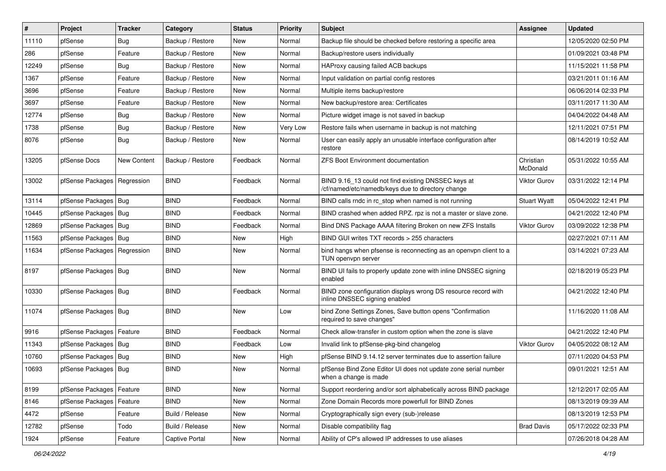| $\vert$ # | Project                       | <b>Tracker</b> | Category         | <b>Status</b> | <b>Priority</b> | Subject                                                                                                  | Assignee              | <b>Updated</b>      |
|-----------|-------------------------------|----------------|------------------|---------------|-----------------|----------------------------------------------------------------------------------------------------------|-----------------------|---------------------|
| 11110     | pfSense                       | <b>Bug</b>     | Backup / Restore | New           | Normal          | Backup file should be checked before restoring a specific area                                           |                       | 12/05/2020 02:50 PM |
| 286       | pfSense                       | Feature        | Backup / Restore | New           | Normal          | Backup/restore users individually                                                                        |                       | 01/09/2021 03:48 PM |
| 12249     | pfSense                       | <b>Bug</b>     | Backup / Restore | <b>New</b>    | Normal          | HAProxy causing failed ACB backups                                                                       |                       | 11/15/2021 11:58 PM |
| 1367      | pfSense                       | Feature        | Backup / Restore | New           | Normal          | Input validation on partial config restores                                                              |                       | 03/21/2011 01:16 AM |
| 3696      | pfSense                       | Feature        | Backup / Restore | <b>New</b>    | Normal          | Multiple items backup/restore                                                                            |                       | 06/06/2014 02:33 PM |
| 3697      | pfSense                       | Feature        | Backup / Restore | New           | Normal          | New backup/restore area: Certificates                                                                    |                       | 03/11/2017 11:30 AM |
| 12774     | pfSense                       | <b>Bug</b>     | Backup / Restore | New           | Normal          | Picture widget image is not saved in backup                                                              |                       | 04/04/2022 04:48 AM |
| 1738      | pfSense                       | Bug            | Backup / Restore | <b>New</b>    | Very Low        | Restore fails when username in backup is not matching                                                    |                       | 12/11/2021 07:51 PM |
| 8076      | pfSense                       | <b>Bug</b>     | Backup / Restore | New           | Normal          | User can easily apply an unusable interface configuration after<br>restore                               |                       | 08/14/2019 10:52 AM |
| 13205     | pfSense Docs                  | New Content    | Backup / Restore | Feedback      | Normal          | <b>ZFS Boot Environment documentation</b>                                                                | Christian<br>McDonald | 05/31/2022 10:55 AM |
| 13002     | pfSense Packages              | Regression     | <b>BIND</b>      | Feedback      | Normal          | BIND 9.16_13 could not find existing DNSSEC keys at<br>/cf/named/etc/namedb/keys due to directory change | <b>Viktor Gurov</b>   | 03/31/2022 12:14 PM |
| 13114     | pfSense Packages              | Bug            | <b>BIND</b>      | Feedback      | Normal          | BIND calls rndc in rc stop when named is not running                                                     | <b>Stuart Wyatt</b>   | 05/04/2022 12:41 PM |
| 10445     | pfSense Packages              | Bug            | <b>BIND</b>      | Feedback      | Normal          | BIND crashed when added RPZ. rpz is not a master or slave zone.                                          |                       | 04/21/2022 12:40 PM |
| 12869     | pfSense Packages   Bug        |                | <b>BIND</b>      | Feedback      | Normal          | Bind DNS Package AAAA filtering Broken on new ZFS Installs                                               | <b>Viktor Gurov</b>   | 03/09/2022 12:38 PM |
| 11563     | pfSense Packages   Bug        |                | <b>BIND</b>      | New           | High            | BIND GUI writes TXT records > 255 characters                                                             |                       | 02/27/2021 07:11 AM |
| 11634     | pfSense Packages   Regression |                | <b>BIND</b>      | <b>New</b>    | Normal          | bind hangs when pfsense is reconnecting as an openvpn client to a<br>TUN openvpn server                  |                       | 03/14/2021 07:23 AM |
| 8197      | pfSense Packages   Bug        |                | <b>BIND</b>      | <b>New</b>    | Normal          | BIND UI fails to properly update zone with inline DNSSEC signing<br>enabled                              |                       | 02/18/2019 05:23 PM |
| 10330     | pfSense Packages   Bug        |                | <b>BIND</b>      | Feedback      | Normal          | BIND zone configuration displays wrong DS resource record with<br>inline DNSSEC signing enabled          |                       | 04/21/2022 12:40 PM |
| 11074     | pfSense Packages   Bug        |                | <b>BIND</b>      | New           | Low             | bind Zone Settings Zones, Save button opens "Confirmation<br>required to save changes"                   |                       | 11/16/2020 11:08 AM |
| 9916      | pfSense Packages              | Feature        | <b>BIND</b>      | Feedback      | Normal          | Check allow-transfer in custom option when the zone is slave                                             |                       | 04/21/2022 12:40 PM |
| 11343     | pfSense Packages   Bug        |                | <b>BIND</b>      | Feedback      | Low             | Invalid link to pfSense-pkg-bind changelog                                                               | <b>Viktor Gurov</b>   | 04/05/2022 08:12 AM |
| 10760     | pfSense Packages   Bug        |                | <b>BIND</b>      | New           | High            | pfSense BIND 9.14.12 server terminates due to assertion failure                                          |                       | 07/11/2020 04:53 PM |
| 10693     | pfSense Packages   Bug        |                | <b>BIND</b>      | New           | Normal          | pfSense Bind Zone Editor UI does not update zone serial number<br>when a change is made                  |                       | 09/01/2021 12:51 AM |
| 8199      | pfSense Packages              | Feature        | <b>BIND</b>      | New           | Normal          | Support reordering and/or sort alphabetically across BIND package                                        |                       | 12/12/2017 02:05 AM |
| 8146      | pfSense Packages              | Feature        | <b>BIND</b>      | New           | Normal          | Zone Domain Records more powerfull for BIND Zones                                                        |                       | 08/13/2019 09:39 AM |
| 4472      | pfSense                       | Feature        | Build / Release  | New           | Normal          | Cryptographically sign every (sub-)release                                                               |                       | 08/13/2019 12:53 PM |
| 12782     | pfSense                       | Todo           | Build / Release  | New           | Normal          | Disable compatibility flag                                                                               | <b>Brad Davis</b>     | 05/17/2022 02:33 PM |
| 1924      | pfSense                       | Feature        | Captive Portal   | New           | Normal          | Ability of CP's allowed IP addresses to use aliases                                                      |                       | 07/26/2018 04:28 AM |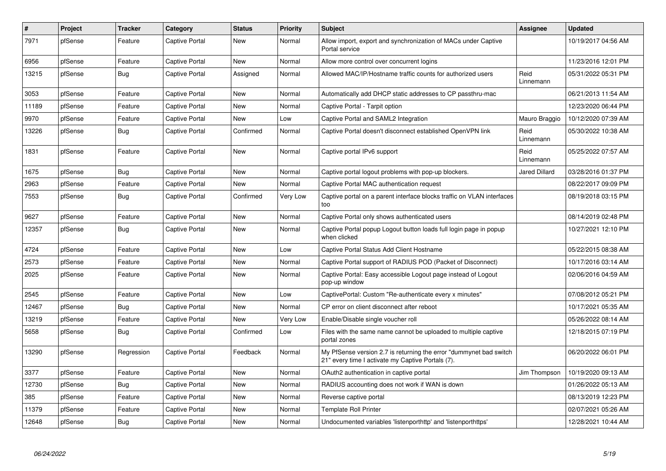| $\pmb{\#}$ | Project | <b>Tracker</b> | Category              | <b>Status</b> | <b>Priority</b> | <b>Subject</b>                                                                                                          | <b>Assignee</b>      | <b>Updated</b>      |
|------------|---------|----------------|-----------------------|---------------|-----------------|-------------------------------------------------------------------------------------------------------------------------|----------------------|---------------------|
| 7971       | pfSense | Feature        | Captive Portal        | <b>New</b>    | Normal          | Allow import, export and synchronization of MACs under Captive<br>Portal service                                        |                      | 10/19/2017 04:56 AM |
| 6956       | pfSense | Feature        | <b>Captive Portal</b> | New           | Normal          | Allow more control over concurrent logins                                                                               |                      | 11/23/2016 12:01 PM |
| 13215      | pfSense | Bug            | Captive Portal        | Assigned      | Normal          | Allowed MAC/IP/Hostname traffic counts for authorized users                                                             | Reid<br>Linnemann    | 05/31/2022 05:31 PM |
| 3053       | pfSense | Feature        | Captive Portal        | <b>New</b>    | Normal          | Automatically add DHCP static addresses to CP passthru-mac                                                              |                      | 06/21/2013 11:54 AM |
| 11189      | pfSense | Feature        | Captive Portal        | <b>New</b>    | Normal          | Captive Portal - Tarpit option                                                                                          |                      | 12/23/2020 06:44 PM |
| 9970       | pfSense | Feature        | <b>Captive Portal</b> | <b>New</b>    | Low             | Captive Portal and SAML2 Integration                                                                                    | Mauro Braggio        | 10/12/2020 07:39 AM |
| 13226      | pfSense | Bug            | <b>Captive Portal</b> | Confirmed     | Normal          | Captive Portal doesn't disconnect established OpenVPN link                                                              | Reid<br>Linnemann    | 05/30/2022 10:38 AM |
| 1831       | pfSense | Feature        | <b>Captive Portal</b> | <b>New</b>    | Normal          | Captive portal IPv6 support                                                                                             | Reid<br>Linnemann    | 05/25/2022 07:57 AM |
| 1675       | pfSense | Bug            | <b>Captive Portal</b> | <b>New</b>    | Normal          | Captive portal logout problems with pop-up blockers.                                                                    | <b>Jared Dillard</b> | 03/28/2016 01:37 PM |
| 2963       | pfSense | Feature        | <b>Captive Portal</b> | <b>New</b>    | Normal          | Captive Portal MAC authentication request                                                                               |                      | 08/22/2017 09:09 PM |
| 7553       | pfSense | <b>Bug</b>     | Captive Portal        | Confirmed     | Very Low        | Captive portal on a parent interface blocks traffic on VLAN interfaces<br>too                                           |                      | 08/19/2018 03:15 PM |
| 9627       | pfSense | Feature        | <b>Captive Portal</b> | <b>New</b>    | Normal          | Captive Portal only shows authenticated users                                                                           |                      | 08/14/2019 02:48 PM |
| 12357      | pfSense | <b>Bug</b>     | <b>Captive Portal</b> | New           | Normal          | Captive Portal popup Logout button loads full login page in popup<br>when clicked                                       |                      | 10/27/2021 12:10 PM |
| 4724       | pfSense | Feature        | <b>Captive Portal</b> | <b>New</b>    | Low             | Captive Portal Status Add Client Hostname                                                                               |                      | 05/22/2015 08:38 AM |
| 2573       | pfSense | Feature        | Captive Portal        | New           | Normal          | Captive Portal support of RADIUS POD (Packet of Disconnect)                                                             |                      | 10/17/2016 03:14 AM |
| 2025       | pfSense | Feature        | Captive Portal        | <b>New</b>    | Normal          | Captive Portal: Easy accessible Logout page instead of Logout<br>pop-up window                                          |                      | 02/06/2016 04:59 AM |
| 2545       | pfSense | Feature        | <b>Captive Portal</b> | New           | Low             | CaptivePortal: Custom "Re-authenticate every x minutes"                                                                 |                      | 07/08/2012 05:21 PM |
| 12467      | pfSense | Bug            | <b>Captive Portal</b> | New           | Normal          | CP error on client disconnect after reboot                                                                              |                      | 10/17/2021 05:35 AM |
| 13219      | pfSense | Feature        | <b>Captive Portal</b> | New           | Very Low        | Enable/Disable single voucher roll                                                                                      |                      | 05/26/2022 08:14 AM |
| 5658       | pfSense | <b>Bug</b>     | Captive Portal        | Confirmed     | Low             | Files with the same name cannot be uploaded to multiple captive<br>portal zones                                         |                      | 12/18/2015 07:19 PM |
| 13290      | pfSense | Regression     | Captive Portal        | Feedback      | Normal          | My PfSense version 2.7 is returning the error "dummynet bad switch<br>21" every time I activate my Captive Portals (7). |                      | 06/20/2022 06:01 PM |
| 3377       | pfSense | Feature        | <b>Captive Portal</b> | New           | Normal          | OAuth2 authentication in captive portal                                                                                 | Jim Thompson         | 10/19/2020 09:13 AM |
| 12730      | pfSense | Bug            | <b>Captive Portal</b> | <b>New</b>    | Normal          | RADIUS accounting does not work if WAN is down                                                                          |                      | 01/26/2022 05:13 AM |
| 385        | pfSense | Feature        | Captive Portal        | New           | Normal          | Reverse captive portal                                                                                                  |                      | 08/13/2019 12:23 PM |
| 11379      | pfSense | Feature        | Captive Portal        | <b>New</b>    | Normal          | <b>Template Roll Printer</b>                                                                                            |                      | 02/07/2021 05:26 AM |
| 12648      | pfSense | Bug            | <b>Captive Portal</b> | <b>New</b>    | Normal          | Undocumented variables 'listenporthttp' and 'listenporthttps'                                                           |                      | 12/28/2021 10:44 AM |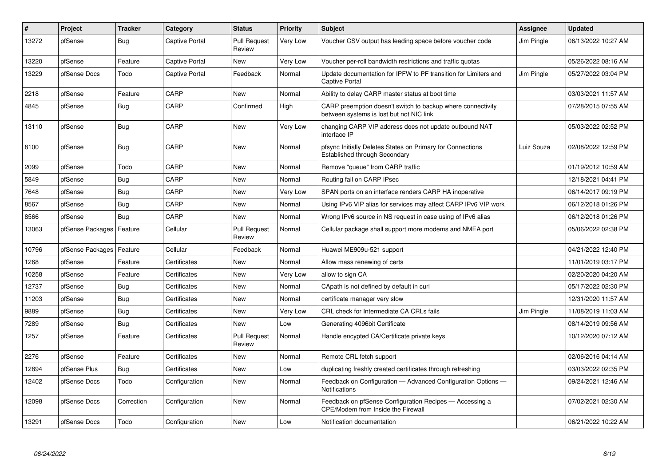| $\vert$ # | Project          | <b>Tracker</b> | Category       | <b>Status</b>                 | <b>Priority</b> | <b>Subject</b>                                                                                          | Assignee   | <b>Updated</b>      |
|-----------|------------------|----------------|----------------|-------------------------------|-----------------|---------------------------------------------------------------------------------------------------------|------------|---------------------|
| 13272     | pfSense          | Bug            | Captive Portal | <b>Pull Request</b><br>Review | Very Low        | Voucher CSV output has leading space before voucher code                                                | Jim Pingle | 06/13/2022 10:27 AM |
| 13220     | pfSense          | Feature        | Captive Portal | <b>New</b>                    | Very Low        | Voucher per-roll bandwidth restrictions and traffic quotas                                              |            | 05/26/2022 08:16 AM |
| 13229     | pfSense Docs     | Todo           | Captive Portal | Feedback                      | Normal          | Update documentation for IPFW to PF transition for Limiters and<br><b>Captive Portal</b>                | Jim Pingle | 05/27/2022 03:04 PM |
| 2218      | pfSense          | Feature        | CARP           | <b>New</b>                    | Normal          | Ability to delay CARP master status at boot time                                                        |            | 03/03/2021 11:57 AM |
| 4845      | pfSense          | Bug            | CARP           | Confirmed                     | High            | CARP preemption doesn't switch to backup where connectivity<br>between systems is lost but not NIC link |            | 07/28/2015 07:55 AM |
| 13110     | pfSense          | Bug            | CARP           | <b>New</b>                    | Very Low        | changing CARP VIP address does not update outbound NAT<br>interface IP                                  |            | 05/03/2022 02:52 PM |
| 8100      | pfSense          | <b>Bug</b>     | CARP           | <b>New</b>                    | Normal          | pfsync Initially Deletes States on Primary for Connections<br>Established through Secondary             | Luiz Souza | 02/08/2022 12:59 PM |
| 2099      | pfSense          | Todo           | CARP           | <b>New</b>                    | Normal          | Remove "queue" from CARP traffic                                                                        |            | 01/19/2012 10:59 AM |
| 5849      | pfSense          | Bug            | CARP           | <b>New</b>                    | Normal          | Routing fail on CARP IPsec                                                                              |            | 12/18/2021 04:41 PM |
| 7648      | pfSense          | <b>Bug</b>     | CARP           | <b>New</b>                    | Very Low        | SPAN ports on an interface renders CARP HA inoperative                                                  |            | 06/14/2017 09:19 PM |
| 8567      | pfSense          | <b>Bug</b>     | CARP           | <b>New</b>                    | Normal          | Using IPv6 VIP alias for services may affect CARP IPv6 VIP work                                         |            | 06/12/2018 01:26 PM |
| 8566      | pfSense          | <b>Bug</b>     | CARP           | New                           | Normal          | Wrong IPv6 source in NS request in case using of IPv6 alias                                             |            | 06/12/2018 01:26 PM |
| 13063     | pfSense Packages | Feature        | Cellular       | <b>Pull Request</b><br>Review | Normal          | Cellular package shall support more modems and NMEA port                                                |            | 05/06/2022 02:38 PM |
| 10796     | pfSense Packages | Feature        | Cellular       | Feedback                      | Normal          | Huawei ME909u-521 support                                                                               |            | 04/21/2022 12:40 PM |
| 1268      | pfSense          | Feature        | Certificates   | New                           | Normal          | Allow mass renewing of certs                                                                            |            | 11/01/2019 03:17 PM |
| 10258     | pfSense          | Feature        | Certificates   | <b>New</b>                    | Very Low        | allow to sign CA                                                                                        |            | 02/20/2020 04:20 AM |
| 12737     | pfSense          | Bug            | Certificates   | New                           | Normal          | CApath is not defined by default in curl                                                                |            | 05/17/2022 02:30 PM |
| 11203     | pfSense          | Bug            | Certificates   | New                           | Normal          | certificate manager very slow                                                                           |            | 12/31/2020 11:57 AM |
| 9889      | pfSense          | <b>Bug</b>     | Certificates   | New                           | <b>Very Low</b> | CRL check for Intermediate CA CRLs fails                                                                | Jim Pingle | 11/08/2019 11:03 AM |
| 7289      | pfSense          | Bug            | Certificates   | <b>New</b>                    | Low             | Generating 4096bit Certificate                                                                          |            | 08/14/2019 09:56 AM |
| 1257      | pfSense          | Feature        | Certificates   | <b>Pull Request</b><br>Review | Normal          | Handle encypted CA/Certificate private keys                                                             |            | 10/12/2020 07:12 AM |
| 2276      | pfSense          | Feature        | Certificates   | <b>New</b>                    | Normal          | Remote CRL fetch support                                                                                |            | 02/06/2016 04:14 AM |
| 12894     | pfSense Plus     | <b>Bug</b>     | Certificates   | <b>New</b>                    | Low             | duplicating freshly created certificates through refreshing                                             |            | 03/03/2022 02:35 PM |
| 12402     | pfSense Docs     | Todo           | Configuration  | <b>New</b>                    | Normal          | Feedback on Configuration - Advanced Configuration Options -<br><b>Notifications</b>                    |            | 09/24/2021 12:46 AM |
| 12098     | pfSense Docs     | Correction     | Configuration  | <b>New</b>                    | Normal          | Feedback on pfSense Configuration Recipes - Accessing a<br>CPE/Modem from Inside the Firewall           |            | 07/02/2021 02:30 AM |
| 13291     | pfSense Docs     | Todo           | Configuration  | New                           | Low             | Notification documentation                                                                              |            | 06/21/2022 10:22 AM |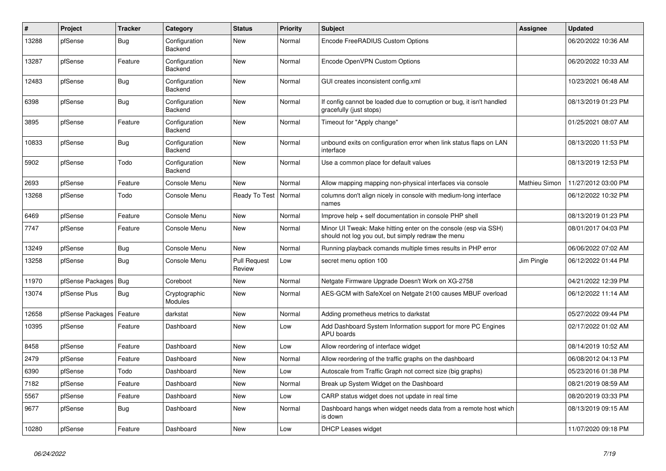| $\vert$ # | Project          | <b>Tracker</b> | Category                        | <b>Status</b>                 | <b>Priority</b> | <b>Subject</b>                                                                                                        | Assignee      | <b>Updated</b>      |
|-----------|------------------|----------------|---------------------------------|-------------------------------|-----------------|-----------------------------------------------------------------------------------------------------------------------|---------------|---------------------|
| 13288     | pfSense          | Bug            | Configuration<br><b>Backend</b> | New                           | Normal          | Encode FreeRADIUS Custom Options                                                                                      |               | 06/20/2022 10:36 AM |
| 13287     | pfSense          | Feature        | Configuration<br>Backend        | <b>New</b>                    | Normal          | Encode OpenVPN Custom Options                                                                                         |               | 06/20/2022 10:33 AM |
| 12483     | pfSense          | <b>Bug</b>     | Configuration<br>Backend        | <b>New</b>                    | Normal          | GUI creates inconsistent config.xml                                                                                   |               | 10/23/2021 06:48 AM |
| 6398      | pfSense          | Bug            | Configuration<br>Backend        | New                           | Normal          | If config cannot be loaded due to corruption or bug, it isn't handled<br>gracefully (just stops)                      |               | 08/13/2019 01:23 PM |
| 3895      | pfSense          | Feature        | Configuration<br>Backend        | <b>New</b>                    | Normal          | Timeout for "Apply change"                                                                                            |               | 01/25/2021 08:07 AM |
| 10833     | pfSense          | <b>Bug</b>     | Configuration<br>Backend        | <b>New</b>                    | Normal          | unbound exits on configuration error when link status flaps on LAN<br>interface                                       |               | 08/13/2020 11:53 PM |
| 5902      | pfSense          | Todo           | Configuration<br><b>Backend</b> | <b>New</b>                    | Normal          | Use a common place for default values                                                                                 |               | 08/13/2019 12:53 PM |
| 2693      | pfSense          | Feature        | Console Menu                    | New                           | Normal          | Allow mapping mapping non-physical interfaces via console                                                             | Mathieu Simon | 11/27/2012 03:00 PM |
| 13268     | pfSense          | Todo           | Console Menu                    | Ready To Test                 | Normal          | columns don't align nicely in console with medium-long interface<br>names                                             |               | 06/12/2022 10:32 PM |
| 6469      | pfSense          | Feature        | Console Menu                    | <b>New</b>                    | Normal          | Improve help + self documentation in console PHP shell                                                                |               | 08/13/2019 01:23 PM |
| 7747      | pfSense          | Feature        | Console Menu                    | New                           | Normal          | Minor UI Tweak: Make hitting enter on the console (esp via SSH)<br>should not log you out, but simply redraw the menu |               | 08/01/2017 04:03 PM |
| 13249     | pfSense          | <b>Bug</b>     | Console Menu                    | <b>New</b>                    | Normal          | Running playback comands multiple times results in PHP error                                                          |               | 06/06/2022 07:02 AM |
| 13258     | pfSense          | Bug            | Console Menu                    | <b>Pull Request</b><br>Review | Low             | secret menu option 100                                                                                                | Jim Pingle    | 06/12/2022 01:44 PM |
| 11970     | pfSense Packages | Bug            | Coreboot                        | New                           | Normal          | Netgate Firmware Upgrade Doesn't Work on XG-2758                                                                      |               | 04/21/2022 12:39 PM |
| 13074     | pfSense Plus     | Bug            | Cryptographic<br>Modules        | New                           | Normal          | AES-GCM with SafeXcel on Netgate 2100 causes MBUF overload                                                            |               | 06/12/2022 11:14 AM |
| 12658     | pfSense Packages | Feature        | darkstat                        | <b>New</b>                    | Normal          | Adding prometheus metrics to darkstat                                                                                 |               | 05/27/2022 09:44 PM |
| 10395     | pfSense          | Feature        | Dashboard                       | <b>New</b>                    | Low             | Add Dashboard System Information support for more PC Engines<br>APU boards                                            |               | 02/17/2022 01:02 AM |
| 8458      | pfSense          | Feature        | Dashboard                       | <b>New</b>                    | Low             | Allow reordering of interface widget                                                                                  |               | 08/14/2019 10:52 AM |
| 2479      | pfSense          | Feature        | Dashboard                       | <b>New</b>                    | Normal          | Allow reordering of the traffic graphs on the dashboard                                                               |               | 06/08/2012 04:13 PM |
| 6390      | pfSense          | Todo           | Dashboard                       | <b>New</b>                    | Low             | Autoscale from Traffic Graph not correct size (big graphs)                                                            |               | 05/23/2016 01:38 PM |
| 7182      | pfSense          | Feature        | Dashboard                       | <b>New</b>                    | Normal          | Break up System Widget on the Dashboard                                                                               |               | 08/21/2019 08:59 AM |
| 5567      | pfSense          | Feature        | Dashboard                       | <b>New</b>                    | Low             | CARP status widget does not update in real time                                                                       |               | 08/20/2019 03:33 PM |
| 9677      | pfSense          | Bug            | Dashboard                       | <b>New</b>                    | Normal          | Dashboard hangs when widget needs data from a remote host which<br>is down                                            |               | 08/13/2019 09:15 AM |
| 10280     | pfSense          | Feature        | Dashboard                       | New                           | Low             | DHCP Leases widget                                                                                                    |               | 11/07/2020 09:18 PM |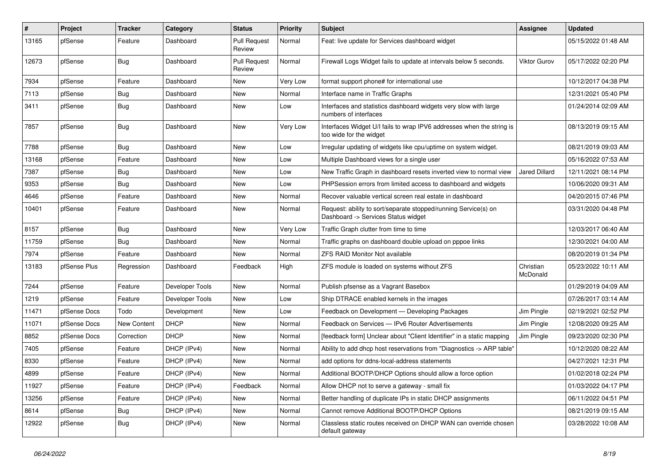| $\vert$ # | <b>Project</b> | <b>Tracker</b> | Category        | <b>Status</b>                 | Priority | <b>Subject</b>                                                                                         | Assignee              | <b>Updated</b>      |
|-----------|----------------|----------------|-----------------|-------------------------------|----------|--------------------------------------------------------------------------------------------------------|-----------------------|---------------------|
| 13165     | pfSense        | Feature        | Dashboard       | <b>Pull Request</b><br>Review | Normal   | Feat: live update for Services dashboard widget                                                        |                       | 05/15/2022 01:48 AM |
| 12673     | pfSense        | Bug            | Dashboard       | <b>Pull Request</b><br>Review | Normal   | Firewall Logs Widget fails to update at intervals below 5 seconds.                                     | <b>Viktor Gurov</b>   | 05/17/2022 02:20 PM |
| 7934      | pfSense        | Feature        | Dashboard       | <b>New</b>                    | Very Low | format support phone# for international use                                                            |                       | 10/12/2017 04:38 PM |
| 7113      | pfSense        | <b>Bug</b>     | Dashboard       | <b>New</b>                    | Normal   | Interface name in Traffic Graphs                                                                       |                       | 12/31/2021 05:40 PM |
| 3411      | pfSense        | <b>Bug</b>     | Dashboard       | New                           | Low      | Interfaces and statistics dashboard widgets very slow with large<br>numbers of interfaces              |                       | 01/24/2014 02:09 AM |
| 7857      | pfSense        | <b>Bug</b>     | Dashboard       | <b>New</b>                    | Very Low | Interfaces Widget U/I fails to wrap IPV6 addresses when the string is<br>too wide for the widget       |                       | 08/13/2019 09:15 AM |
| 7788      | pfSense        | <b>Bug</b>     | Dashboard       | <b>New</b>                    | Low      | Irregular updating of widgets like cpu/uptime on system widget.                                        |                       | 08/21/2019 09:03 AM |
| 13168     | pfSense        | Feature        | Dashboard       | New                           | Low      | Multiple Dashboard views for a single user                                                             |                       | 05/16/2022 07:53 AM |
| 7387      | pfSense        | <b>Bug</b>     | Dashboard       | New                           | Low      | New Traffic Graph in dashboard resets inverted view to normal view                                     | <b>Jared Dillard</b>  | 12/11/2021 08:14 PM |
| 9353      | pfSense        | Bug            | Dashboard       | New                           | Low      | PHPSession errors from limited access to dashboard and widgets                                         |                       | 10/06/2020 09:31 AM |
| 4646      | pfSense        | Feature        | Dashboard       | New                           | Normal   | Recover valuable vertical screen real estate in dashboard                                              |                       | 04/20/2015 07:46 PM |
| 10401     | pfSense        | Feature        | Dashboard       | <b>New</b>                    | Normal   | Request: ability to sort/separate stopped/running Service(s) on<br>Dashboard -> Services Status widget |                       | 03/31/2020 04:48 PM |
| 8157      | pfSense        | Bug            | Dashboard       | <b>New</b>                    | Very Low | Traffic Graph clutter from time to time                                                                |                       | 12/03/2017 06:40 AM |
| 11759     | pfSense        | <b>Bug</b>     | Dashboard       | <b>New</b>                    | Normal   | Traffic graphs on dashboard double upload on pppoe links                                               |                       | 12/30/2021 04:00 AM |
| 7974      | pfSense        | Feature        | Dashboard       | <b>New</b>                    | Normal   | <b>ZFS RAID Monitor Not available</b>                                                                  |                       | 08/20/2019 01:34 PM |
| 13183     | pfSense Plus   | Regression     | Dashboard       | Feedback                      | High     | ZFS module is loaded on systems without ZFS                                                            | Christian<br>McDonald | 05/23/2022 10:11 AM |
| 7244      | pfSense        | Feature        | Developer Tools | <b>New</b>                    | Normal   | Publish pfsense as a Vagrant Basebox                                                                   |                       | 01/29/2019 04:09 AM |
| 1219      | pfSense        | Feature        | Developer Tools | New                           | Low      | Ship DTRACE enabled kernels in the images                                                              |                       | 07/26/2017 03:14 AM |
| 11471     | pfSense Docs   | Todo           | Development     | New                           | Low      | Feedback on Development - Developing Packages                                                          | Jim Pingle            | 02/19/2021 02:52 PM |
| 11071     | pfSense Docs   | New Content    | <b>DHCP</b>     | New                           | Normal   | Feedback on Services - IPv6 Router Advertisements                                                      | Jim Pingle            | 12/08/2020 09:25 AM |
| 8852      | pfSense Docs   | Correction     | <b>DHCP</b>     | New                           | Normal   | [feedback form] Unclear about "Client Identifier" in a static mapping                                  | Jim Pingle            | 09/23/2020 02:30 PM |
| 7405      | pfSense        | Feature        | DHCP (IPv4)     | New                           | Normal   | Ability to add dhcp host reservations from "Diagnostics -> ARP table"                                  |                       | 10/12/2020 08:22 AM |
| 8330      | pfSense        | Feature        | DHCP (IPv4)     | New                           | Normal   | add options for ddns-local-address statements                                                          |                       | 04/27/2021 12:31 PM |
| 4899      | pfSense        | Feature        | DHCP (IPv4)     | <b>New</b>                    | Normal   | Additional BOOTP/DHCP Options should allow a force option                                              |                       | 01/02/2018 02:24 PM |
| 11927     | pfSense        | Feature        | DHCP (IPv4)     | Feedback                      | Normal   | Allow DHCP not to serve a gateway - small fix                                                          |                       | 01/03/2022 04:17 PM |
| 13256     | pfSense        | Feature        | DHCP (IPv4)     | <b>New</b>                    | Normal   | Better handling of duplicate IPs in static DHCP assignments                                            |                       | 06/11/2022 04:51 PM |
| 8614      | pfSense        | Bug            | DHCP (IPv4)     | <b>New</b>                    | Normal   | Cannot remove Additional BOOTP/DHCP Options                                                            |                       | 08/21/2019 09:15 AM |
| 12922     | pfSense        | <b>Bug</b>     | DHCP (IPv4)     | <b>New</b>                    | Normal   | Classless static routes received on DHCP WAN can override chosen<br>default gateway                    |                       | 03/28/2022 10:08 AM |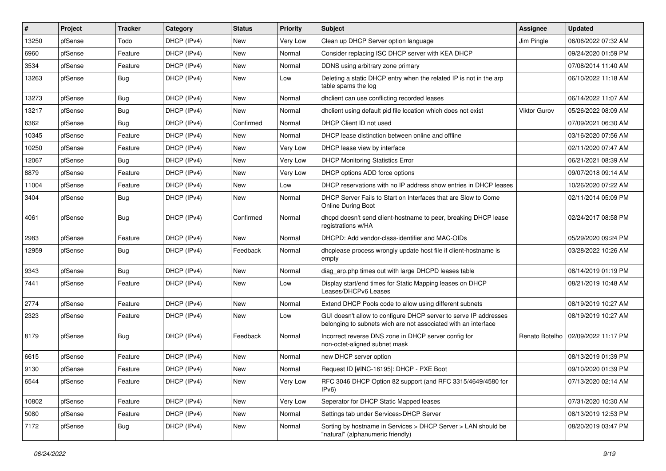| $\vert$ # | Project | <b>Tracker</b> | Category    | <b>Status</b> | <b>Priority</b> | Subject                                                                                                                            | <b>Assignee</b> | <b>Updated</b>      |
|-----------|---------|----------------|-------------|---------------|-----------------|------------------------------------------------------------------------------------------------------------------------------------|-----------------|---------------------|
| 13250     | pfSense | Todo           | DHCP (IPv4) | New           | Very Low        | Clean up DHCP Server option language                                                                                               | Jim Pingle      | 06/06/2022 07:32 AM |
| 6960      | pfSense | Feature        | DHCP (IPv4) | New           | Normal          | Consider replacing ISC DHCP server with KEA DHCP                                                                                   |                 | 09/24/2020 01:59 PM |
| 3534      | pfSense | Feature        | DHCP (IPv4) | New           | Normal          | DDNS using arbitrary zone primary                                                                                                  |                 | 07/08/2014 11:40 AM |
| 13263     | pfSense | <b>Bug</b>     | DHCP (IPv4) | New           | Low             | Deleting a static DHCP entry when the related IP is not in the arp<br>table spams the log                                          |                 | 06/10/2022 11:18 AM |
| 13273     | pfSense | Bug            | DHCP (IPv4) | New           | Normal          | dhclient can use conflicting recorded leases                                                                                       |                 | 06/14/2022 11:07 AM |
| 13217     | pfSense | Bug            | DHCP (IPv4) | New           | Normal          | dhclient using default pid file location which does not exist                                                                      | Viktor Gurov    | 05/26/2022 08:09 AM |
| 6362      | pfSense | Bug            | DHCP (IPv4) | Confirmed     | Normal          | DHCP Client ID not used                                                                                                            |                 | 07/09/2021 06:30 AM |
| 10345     | pfSense | Feature        | DHCP (IPv4) | New           | Normal          | DHCP lease distinction between online and offline                                                                                  |                 | 03/16/2020 07:56 AM |
| 10250     | pfSense | Feature        | DHCP (IPv4) | <b>New</b>    | Very Low        | DHCP lease view by interface                                                                                                       |                 | 02/11/2020 07:47 AM |
| 12067     | pfSense | Bug            | DHCP (IPv4) | New           | Very Low        | <b>DHCP Monitoring Statistics Error</b>                                                                                            |                 | 06/21/2021 08:39 AM |
| 8879      | pfSense | Feature        | DHCP (IPv4) | New           | Very Low        | DHCP options ADD force options                                                                                                     |                 | 09/07/2018 09:14 AM |
| 11004     | pfSense | Feature        | DHCP (IPv4) | New           | Low             | DHCP reservations with no IP address show entries in DHCP leases                                                                   |                 | 10/26/2020 07:22 AM |
| 3404      | pfSense | Bug            | DHCP (IPv4) | New           | Normal          | DHCP Server Fails to Start on Interfaces that are Slow to Come<br>Online During Boot                                               |                 | 02/11/2014 05:09 PM |
| 4061      | pfSense | Bug            | DHCP (IPv4) | Confirmed     | Normal          | dhcpd doesn't send client-hostname to peer, breaking DHCP lease<br>registrations w/HA                                              |                 | 02/24/2017 08:58 PM |
| 2983      | pfSense | Feature        | DHCP (IPv4) | <b>New</b>    | Normal          | DHCPD: Add vendor-class-identifier and MAC-OIDs                                                                                    |                 | 05/29/2020 09:24 PM |
| 12959     | pfSense | <b>Bug</b>     | DHCP (IPv4) | Feedback      | Normal          | dhcplease process wrongly update host file if client-hostname is<br>empty                                                          |                 | 03/28/2022 10:26 AM |
| 9343      | pfSense | Bug            | DHCP (IPv4) | New           | Normal          | diag_arp.php times out with large DHCPD leases table                                                                               |                 | 08/14/2019 01:19 PM |
| 7441      | pfSense | Feature        | DHCP (IPv4) | New           | Low             | Display start/end times for Static Mapping leases on DHCP<br>Leases/DHCPv6 Leases                                                  |                 | 08/21/2019 10:48 AM |
| 2774      | pfSense | Feature        | DHCP (IPv4) | New           | Normal          | Extend DHCP Pools code to allow using different subnets                                                                            |                 | 08/19/2019 10:27 AM |
| 2323      | pfSense | Feature        | DHCP (IPv4) | New           | Low             | GUI doesn't allow to configure DHCP server to serve IP addresses<br>belonging to subnets wich are not associated with an interface |                 | 08/19/2019 10:27 AM |
| 8179      | pfSense | Bug            | DHCP (IPv4) | Feedback      | Normal          | Incorrect reverse DNS zone in DHCP server config for<br>non-octet-aligned subnet mask                                              | Renato Botelho  | 02/09/2022 11:17 PM |
| 6615      | pfSense | Feature        | DHCP (IPv4) | New           | Normal          | new DHCP server option                                                                                                             |                 | 08/13/2019 01:39 PM |
| 9130      | pfSense | Feature        | DHCP (IPv4) | New           | Normal          | Request ID [#INC-16195]: DHCP - PXE Boot                                                                                           |                 | 09/10/2020 01:39 PM |
| 6544      | pfSense | Feature        | DHCP (IPv4) | New           | Very Low        | RFC 3046 DHCP Option 82 support (and RFC 3315/4649/4580 for<br>IPv6                                                                |                 | 07/13/2020 02:14 AM |
| 10802     | pfSense | Feature        | DHCP (IPv4) | New           | Very Low        | Seperator for DHCP Static Mapped leases                                                                                            |                 | 07/31/2020 10:30 AM |
| 5080      | pfSense | Feature        | DHCP (IPv4) | New           | Normal          | Settings tab under Services>DHCP Server                                                                                            |                 | 08/13/2019 12:53 PM |
| 7172      | pfSense | <b>Bug</b>     | DHCP (IPv4) | New           | Normal          | Sorting by hostname in Services > DHCP Server > LAN should be<br>"natural" (alphanumeric friendly)                                 |                 | 08/20/2019 03:47 PM |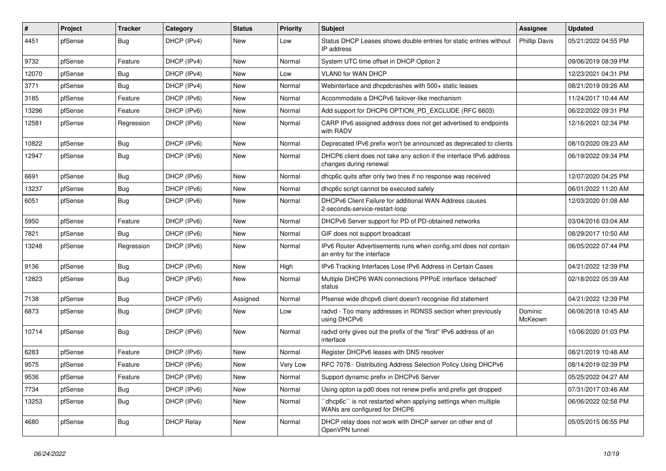| $\sharp$ | Project | <b>Tracker</b> | Category          | <b>Status</b> | <b>Priority</b> | <b>Subject</b>                                                                                   | Assignee             | <b>Updated</b>      |
|----------|---------|----------------|-------------------|---------------|-----------------|--------------------------------------------------------------------------------------------------|----------------------|---------------------|
| 4451     | pfSense | Bug            | DHCP (IPv4)       | New           | Low             | Status DHCP Leases shows double entries for static entries without<br>IP address                 | <b>Phillip Davis</b> | 05/21/2022 04:55 PM |
| 9732     | pfSense | Feature        | DHCP (IPv4)       | New           | Normal          | System UTC time offset in DHCP Option 2                                                          |                      | 09/06/2019 08:39 PM |
| 12070    | pfSense | Bug            | DHCP (IPv4)       | New           | Low             | <b>VLANO for WAN DHCP</b>                                                                        |                      | 12/23/2021 04:31 PM |
| 3771     | pfSense | Bug            | DHCP (IPv4)       | New           | Normal          | Webinterface and dhcpdcrashes with 500+ static leases                                            |                      | 08/21/2019 09:26 AM |
| 3185     | pfSense | Feature        | DHCP (IPv6)       | New           | Normal          | Accommodate a DHCPv6 failover-like mechanism                                                     |                      | 11/24/2017 10:44 AM |
| 13296    | pfSense | Feature        | DHCP (IPv6)       | New           | Normal          | Add support for DHCP6 OPTION_PD_EXCLUDE (RFC 6603)                                               |                      | 06/22/2022 09:31 PM |
| 12581    | pfSense | Regression     | DHCP (IPv6)       | New           | Normal          | CARP IPv6 assigned address does not get advertised to endpoints<br>with RADV                     |                      | 12/16/2021 02:34 PM |
| 10822    | pfSense | Bug            | DHCP (IPv6)       | New           | Normal          | Deprecated IPv6 prefix won't be announced as deprecated to clients                               |                      | 08/10/2020 09:23 AM |
| 12947    | pfSense | Bug            | DHCP (IPv6)       | New           | Normal          | DHCP6 client does not take any action if the interface IPv6 address<br>changes during renewal    |                      | 06/19/2022 09:34 PM |
| 6691     | pfSense | Bug            | DHCP (IPv6)       | <b>New</b>    | Normal          | dhcp6c quits after only two tries if no response was received                                    |                      | 12/07/2020 04:25 PM |
| 13237    | pfSense | <b>Bug</b>     | DHCP (IPv6)       | New           | Normal          | dhcp6c script cannot be executed safely                                                          |                      | 06/01/2022 11:20 AM |
| 6051     | pfSense | <b>Bug</b>     | DHCP (IPv6)       | <b>New</b>    | Normal          | DHCPv6 Client Failure for additional WAN Address causes<br>2-seconds-service-restart-loop        |                      | 12/03/2020 01:08 AM |
| 5950     | pfSense | Feature        | DHCP (IPv6)       | New           | Normal          | DHCPv6 Server support for PD of PD-obtained networks                                             |                      | 03/04/2016 03:04 AM |
| 7821     | pfSense | Bug            | DHCP (IPv6)       | <b>New</b>    | Normal          | GIF does not support broadcast                                                                   |                      | 08/29/2017 10:50 AM |
| 13248    | pfSense | Regression     | DHCP (IPv6)       | New           | Normal          | IPv6 Router Advertisements runs when config.xml does not contain<br>an entry for the interface   |                      | 06/05/2022 07:44 PM |
| 9136     | pfSense | <b>Bug</b>     | DHCP (IPv6)       | New           | High            | IPv6 Tracking Interfaces Lose IPv6 Address in Certain Cases                                      |                      | 04/21/2022 12:39 PM |
| 12823    | pfSense | Bug            | DHCP (IPv6)       | <b>New</b>    | Normal          | Multiple DHCP6 WAN connections PPPoE interface 'defached'<br>status                              |                      | 02/18/2022 05:39 AM |
| 7138     | pfSense | Bug            | DHCP (IPv6)       | Assigned      | Normal          | Pfsense wide dhcpv6 client doesn't recognise if id statement                                     |                      | 04/21/2022 12:39 PM |
| 6873     | pfSense | <b>Bug</b>     | DHCP (IPv6)       | New           | Low             | radvd - Too many addresses in RDNSS section when previously<br>using DHCPv6                      | Dominic<br>McKeown   | 06/06/2018 10:45 AM |
| 10714    | pfSense | <b>Bug</b>     | DHCP (IPv6)       | New           | Normal          | radvd only gives out the prefix of the "first" IPv6 address of an<br>interface                   |                      | 10/06/2020 01:03 PM |
| 6283     | pfSense | Feature        | DHCP (IPv6)       | <b>New</b>    | Normal          | Register DHCPv6 leases with DNS resolver                                                         |                      | 08/21/2019 10:48 AM |
| 9575     | pfSense | Feature        | DHCP (IPv6)       | New           | Very Low        | RFC 7078 - Distributing Address Selection Policy Using DHCPv6                                    |                      | 08/14/2019 02:39 PM |
| 9536     | pfSense | Feature        | DHCP (IPv6)       | New           | Normal          | Support dynamic prefix in DHCPv6 Server                                                          |                      | 05/25/2022 04:27 AM |
| 7734     | pfSense | Bug            | DHCP (IPv6)       | <b>New</b>    | Normal          | Using opton ia pd0 does not renew prefix and prefix get dropped                                  |                      | 07/31/2017 03:46 AM |
| 13253    | pfSense | Bug            | DHCP (IPv6)       | New           | Normal          | 'dhcp6c'' is not restarted when applying settings when multiple<br>WANs are configured for DHCP6 |                      | 06/06/2022 02:58 PM |
| 4680     | pfSense | <b>Bug</b>     | <b>DHCP Relay</b> | <b>New</b>    | Normal          | DHCP relay does not work with DHCP server on other end of<br>OpenVPN tunnel                      |                      | 05/05/2015 06:55 PM |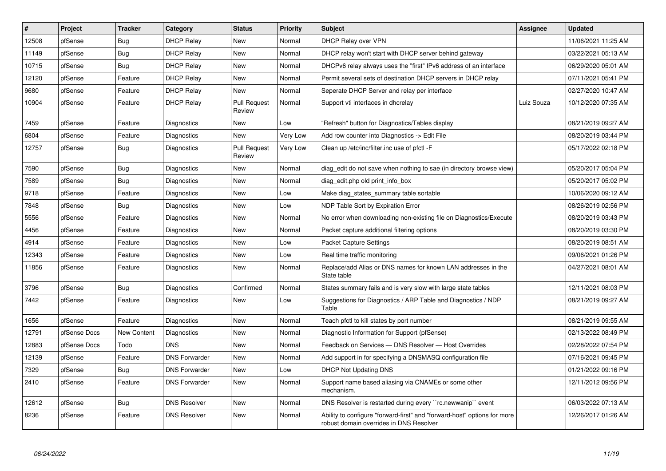| #     | Project      | <b>Tracker</b>     | Category             | <b>Status</b>                 | Priority        | <b>Subject</b>                                                                                                      | Assignee   | <b>Updated</b>      |
|-------|--------------|--------------------|----------------------|-------------------------------|-----------------|---------------------------------------------------------------------------------------------------------------------|------------|---------------------|
| 12508 | pfSense      | <b>Bug</b>         | <b>DHCP Relay</b>    | <b>New</b>                    | Normal          | DHCP Relay over VPN                                                                                                 |            | 11/06/2021 11:25 AM |
| 11149 | pfSense      | Bug                | <b>DHCP Relay</b>    | New                           | Normal          | DHCP relay won't start with DHCP server behind gateway                                                              |            | 03/22/2021 05:13 AM |
| 10715 | pfSense      | Bug                | <b>DHCP Relay</b>    | New                           | Normal          | DHCPv6 relay always uses the "first" IPv6 address of an interface                                                   |            | 06/29/2020 05:01 AM |
| 12120 | pfSense      | Feature            | <b>DHCP Relay</b>    | New                           | Normal          | Permit several sets of destination DHCP servers in DHCP relay                                                       |            | 07/11/2021 05:41 PM |
| 9680  | pfSense      | Feature            | <b>DHCP Relay</b>    | New                           | Normal          | Seperate DHCP Server and relay per interface                                                                        |            | 02/27/2020 10:47 AM |
| 10904 | pfSense      | Feature            | <b>DHCP Relay</b>    | <b>Pull Request</b><br>Review | Normal          | Support vti interfaces in dhcrelay                                                                                  | Luiz Souza | 10/12/2020 07:35 AM |
| 7459  | pfSense      | Feature            | Diagnostics          | New                           | Low             | 'Refresh" button for Diagnostics/Tables display                                                                     |            | 08/21/2019 09:27 AM |
| 6804  | pfSense      | Feature            | Diagnostics          | <b>New</b>                    | Very Low        | Add row counter into Diagnostics -> Edit File                                                                       |            | 08/20/2019 03:44 PM |
| 12757 | pfSense      | <b>Bug</b>         | Diagnostics          | <b>Pull Request</b><br>Review | <b>Very Low</b> | Clean up /etc/inc/filter.inc use of pfctl -F                                                                        |            | 05/17/2022 02:18 PM |
| 7590  | pfSense      | Bug                | Diagnostics          | <b>New</b>                    | Normal          | diag edit do not save when nothing to sae (in directory browse view)                                                |            | 05/20/2017 05:04 PM |
| 7589  | pfSense      | Bug                | Diagnostics          | New                           | Normal          | diag edit.php old print info box                                                                                    |            | 05/20/2017 05:02 PM |
| 9718  | pfSense      | Feature            | Diagnostics          | <b>New</b>                    | Low             | Make diag states summary table sortable                                                                             |            | 10/06/2020 09:12 AM |
| 7848  | pfSense      | <b>Bug</b>         | Diagnostics          | <b>New</b>                    | Low             | NDP Table Sort by Expiration Error                                                                                  |            | 08/26/2019 02:56 PM |
| 5556  | pfSense      | Feature            | Diagnostics          | New                           | Normal          | No error when downloading non-existing file on Diagnostics/Execute                                                  |            | 08/20/2019 03:43 PM |
| 4456  | pfSense      | Feature            | Diagnostics          | <b>New</b>                    | Normal          | Packet capture additional filtering options                                                                         |            | 08/20/2019 03:30 PM |
| 4914  | pfSense      | Feature            | Diagnostics          | New                           | Low             | <b>Packet Capture Settings</b>                                                                                      |            | 08/20/2019 08:51 AM |
| 12343 | pfSense      | Feature            | Diagnostics          | New                           | Low             | Real time traffic monitoring                                                                                        |            | 09/06/2021 01:26 PM |
| 11856 | pfSense      | Feature            | Diagnostics          | <b>New</b>                    | Normal          | Replace/add Alias or DNS names for known LAN addresses in the<br>State table                                        |            | 04/27/2021 08:01 AM |
| 3796  | pfSense      | Bug                | Diagnostics          | Confirmed                     | Normal          | States summary fails and is very slow with large state tables                                                       |            | 12/11/2021 08:03 PM |
| 7442  | pfSense      | Feature            | Diagnostics          | <b>New</b>                    | Low             | Suggestions for Diagnostics / ARP Table and Diagnostics / NDP<br>Table                                              |            | 08/21/2019 09:27 AM |
| 1656  | pfSense      | Feature            | Diagnostics          | <b>New</b>                    | Normal          | Teach pfctl to kill states by port number                                                                           |            | 08/21/2019 09:55 AM |
| 12791 | pfSense Docs | <b>New Content</b> | Diagnostics          | <b>New</b>                    | Normal          | Diagnostic Information for Support (pfSense)                                                                        |            | 02/13/2022 08:49 PM |
| 12883 | pfSense Docs | Todo               | <b>DNS</b>           | <b>New</b>                    | Normal          | Feedback on Services - DNS Resolver - Host Overrides                                                                |            | 02/28/2022 07:54 PM |
| 12139 | pfSense      | Feature            | <b>DNS Forwarder</b> | New                           | Normal          | Add support in for specifying a DNSMASQ configuration file                                                          |            | 07/16/2021 09:45 PM |
| 7329  | pfSense      | Bug                | <b>DNS Forwarder</b> | New                           | Low             | <b>DHCP Not Updating DNS</b>                                                                                        |            | 01/21/2022 09:16 PM |
| 2410  | pfSense      | Feature            | <b>DNS Forwarder</b> | New                           | Normal          | Support name based aliasing via CNAMEs or some other<br>mechanism.                                                  |            | 12/11/2012 09:56 PM |
| 12612 | pfSense      | <b>Bug</b>         | <b>DNS Resolver</b>  | <b>New</b>                    | Normal          | DNS Resolver is restarted during every "rc.newwanip" event                                                          |            | 06/03/2022 07:13 AM |
| 8236  | pfSense      | Feature            | <b>DNS Resolver</b>  | <b>New</b>                    | Normal          | Ability to configure "forward-first" and "forward-host" options for more<br>robust domain overrides in DNS Resolver |            | 12/26/2017 01:26 AM |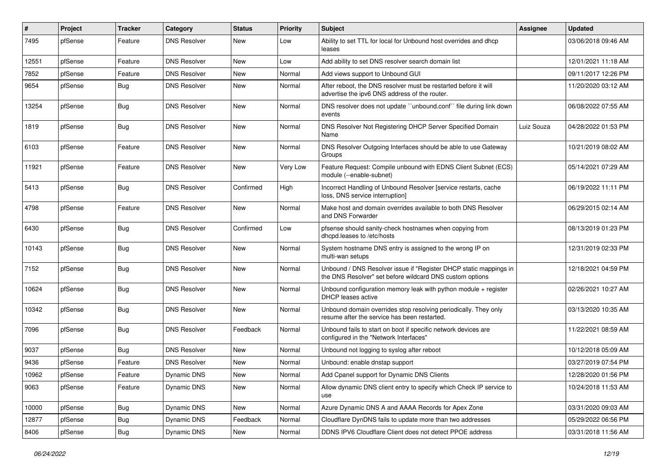| #     | Project | <b>Tracker</b> | Category            | <b>Status</b> | <b>Priority</b> | <b>Subject</b>                                                                                                                | <b>Assignee</b> | <b>Updated</b>      |
|-------|---------|----------------|---------------------|---------------|-----------------|-------------------------------------------------------------------------------------------------------------------------------|-----------------|---------------------|
| 7495  | pfSense | Feature        | <b>DNS Resolver</b> | New           | Low             | Ability to set TTL for local for Unbound host overrides and dhcp<br>leases                                                    |                 | 03/06/2018 09:46 AM |
| 12551 | pfSense | Feature        | <b>DNS Resolver</b> | New           | Low             | Add ability to set DNS resolver search domain list                                                                            |                 | 12/01/2021 11:18 AM |
| 7852  | pfSense | Feature        | <b>DNS Resolver</b> | New           | Normal          | Add views support to Unbound GUI                                                                                              |                 | 09/11/2017 12:26 PM |
| 9654  | pfSense | Bug            | <b>DNS Resolver</b> | New           | Normal          | After reboot, the DNS resolver must be restarted before it will<br>advertise the ipv6 DNS address of the router.              |                 | 11/20/2020 03:12 AM |
| 13254 | pfSense | Bug            | <b>DNS Resolver</b> | New           | Normal          | DNS resolver does not update "unbound.conf" file during link down<br>events                                                   |                 | 06/08/2022 07:55 AM |
| 1819  | pfSense | <b>Bug</b>     | <b>DNS Resolver</b> | New           | Normal          | DNS Resolver Not Registering DHCP Server Specified Domain<br>Name                                                             | Luiz Souza      | 04/28/2022 01:53 PM |
| 6103  | pfSense | Feature        | <b>DNS Resolver</b> | New           | Normal          | DNS Resolver Outgoing Interfaces should be able to use Gateway<br>Groups                                                      |                 | 10/21/2019 08:02 AM |
| 11921 | pfSense | Feature        | <b>DNS Resolver</b> | New           | Very Low        | Feature Request: Compile unbound with EDNS Client Subnet (ECS)<br>module (--enable-subnet)                                    |                 | 05/14/2021 07:29 AM |
| 5413  | pfSense | Bug            | <b>DNS Resolver</b> | Confirmed     | High            | Incorrect Handling of Unbound Resolver [service restarts, cache<br>loss, DNS service interruption]                            |                 | 06/19/2022 11:11 PM |
| 4798  | pfSense | Feature        | <b>DNS Resolver</b> | New           | Normal          | Make host and domain overrides available to both DNS Resolver<br>and DNS Forwarder                                            |                 | 06/29/2015 02:14 AM |
| 6430  | pfSense | <b>Bug</b>     | <b>DNS Resolver</b> | Confirmed     | Low             | pfsense should sanity-check hostnames when copying from<br>dhcpd.leases to /etc/hosts                                         |                 | 08/13/2019 01:23 PM |
| 10143 | pfSense | <b>Bug</b>     | <b>DNS Resolver</b> | New           | Normal          | System hostname DNS entry is assigned to the wrong IP on<br>multi-wan setups                                                  |                 | 12/31/2019 02:33 PM |
| 7152  | pfSense | <b>Bug</b>     | <b>DNS Resolver</b> | <b>New</b>    | Normal          | Unbound / DNS Resolver issue if "Register DHCP static mappings in<br>the DNS Resolver" set before wildcard DNS custom options |                 | 12/18/2021 04:59 PM |
| 10624 | pfSense | <b>Bug</b>     | <b>DNS Resolver</b> | New           | Normal          | Unbound configuration memory leak with python module $+$ register<br>DHCP leases active                                       |                 | 02/26/2021 10:27 AM |
| 10342 | pfSense | Bug            | <b>DNS Resolver</b> | New           | Normal          | Unbound domain overrides stop resolving periodically. They only<br>resume after the service has been restarted.               |                 | 03/13/2020 10:35 AM |
| 7096  | pfSense | Bug            | <b>DNS Resolver</b> | Feedback      | Normal          | Unbound fails to start on boot if specific network devices are<br>configured in the "Network Interfaces"                      |                 | 11/22/2021 08:59 AM |
| 9037  | pfSense | <b>Bug</b>     | <b>DNS Resolver</b> | New           | Normal          | Unbound not logging to syslog after reboot                                                                                    |                 | 10/12/2018 05:09 AM |
| 9436  | pfSense | Feature        | <b>DNS Resolver</b> | New           | Normal          | Unbound: enable dnstap support                                                                                                |                 | 03/27/2019 07:54 PM |
| 10962 | pfSense | Feature        | Dynamic DNS         | New           | Normal          | Add Cpanel support for Dynamic DNS Clients                                                                                    |                 | 12/28/2020 01:56 PM |
| 9063  | pfSense | Feature        | Dynamic DNS         | New           | Normal          | Allow dynamic DNS client entry to specify which Check IP service to<br>use                                                    |                 | 10/24/2018 11:53 AM |
| 10000 | pfSense | Bug            | Dynamic DNS         | New           | Normal          | Azure Dynamic DNS A and AAAA Records for Apex Zone                                                                            |                 | 03/31/2020 09:03 AM |
| 12877 | pfSense | Bug            | Dynamic DNS         | Feedback      | Normal          | Cloudflare DynDNS fails to update more than two addresses                                                                     |                 | 05/29/2022 06:56 PM |
| 8406  | pfSense | <b>Bug</b>     | Dynamic DNS         | New           | Normal          | DDNS IPV6 Cloudflare Client does not detect PPOE address                                                                      |                 | 03/31/2018 11:56 AM |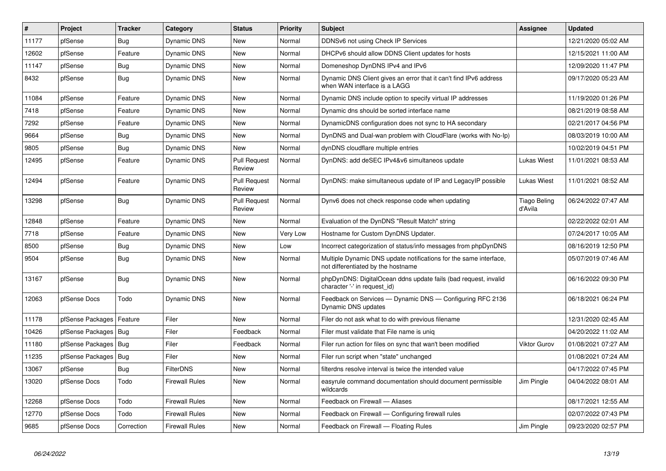| $\vert$ # | Project                | <b>Tracker</b> | Category              | <b>Status</b>                 | <b>Priority</b> | <b>Subject</b>                                                                                          | <b>Assignee</b>                | <b>Updated</b>      |
|-----------|------------------------|----------------|-----------------------|-------------------------------|-----------------|---------------------------------------------------------------------------------------------------------|--------------------------------|---------------------|
| 11177     | pfSense                | <b>Bug</b>     | <b>Dynamic DNS</b>    | <b>New</b>                    | Normal          | DDNSv6 not using Check IP Services                                                                      |                                | 12/21/2020 05:02 AM |
| 12602     | pfSense                | Feature        | Dynamic DNS           | New                           | Normal          | DHCPv6 should allow DDNS Client updates for hosts                                                       |                                | 12/15/2021 11:00 AM |
| 11147     | pfSense                | <b>Bug</b>     | Dynamic DNS           | <b>New</b>                    | Normal          | Domeneshop DynDNS IPv4 and IPv6                                                                         |                                | 12/09/2020 11:47 PM |
| 8432      | pfSense                | Bug            | Dynamic DNS           | <b>New</b>                    | Normal          | Dynamic DNS Client gives an error that it can't find IPv6 address<br>when WAN interface is a LAGG       |                                | 09/17/2020 05:23 AM |
| 11084     | pfSense                | Feature        | Dynamic DNS           | <b>New</b>                    | Normal          | Dynamic DNS include option to specify virtual IP addresses                                              |                                | 11/19/2020 01:26 PM |
| 7418      | pfSense                | Feature        | Dynamic DNS           | <b>New</b>                    | Normal          | Dynamic dns should be sorted interface name                                                             |                                | 08/21/2019 08:58 AM |
| 7292      | pfSense                | Feature        | <b>Dynamic DNS</b>    | <b>New</b>                    | Normal          | DynamicDNS configuration does not sync to HA secondary                                                  |                                | 02/21/2017 04:56 PM |
| 9664      | pfSense                | Bug            | <b>Dynamic DNS</b>    | <b>New</b>                    | Normal          | DynDNS and Dual-wan problem with CloudFlare (works with No-Ip)                                          |                                | 08/03/2019 10:00 AM |
| 9805      | pfSense                | Bug            | Dynamic DNS           | <b>New</b>                    | Normal          | dynDNS cloudflare multiple entries                                                                      |                                | 10/02/2019 04:51 PM |
| 12495     | pfSense                | Feature        | Dynamic DNS           | <b>Pull Request</b><br>Review | Normal          | DynDNS: add deSEC IPv4&v6 simultaneos update                                                            | <b>Lukas Wiest</b>             | 11/01/2021 08:53 AM |
| 12494     | pfSense                | Feature        | Dynamic DNS           | <b>Pull Request</b><br>Review | Normal          | DynDNS: make simultaneous update of IP and LegacyIP possible                                            | <b>Lukas Wiest</b>             | 11/01/2021 08:52 AM |
| 13298     | pfSense                | Bug            | Dynamic DNS           | <b>Pull Request</b><br>Review | Normal          | Dynv6 does not check response code when updating                                                        | <b>Tiago Beling</b><br>d'Avila | 06/24/2022 07:47 AM |
| 12848     | pfSense                | Feature        | Dynamic DNS           | New                           | Normal          | Evaluation of the DynDNS "Result Match" string                                                          |                                | 02/22/2022 02:01 AM |
| 7718      | pfSense                | Feature        | Dynamic DNS           | New                           | Very Low        | Hostname for Custom DynDNS Updater.                                                                     |                                | 07/24/2017 10:05 AM |
| 8500      | pfSense                | Bug            | Dynamic DNS           | New                           | Low             | Incorrect categorization of status/info messages from phpDynDNS                                         |                                | 08/16/2019 12:50 PM |
| 9504      | pfSense                | <b>Bug</b>     | Dynamic DNS           | New                           | Normal          | Multiple Dynamic DNS update notifications for the same interface,<br>not differentiated by the hostname |                                | 05/07/2019 07:46 AM |
| 13167     | pfSense                | Bug            | Dynamic DNS           | <b>New</b>                    | Normal          | phpDynDNS: DigitalOcean ddns update fails (bad request, invalid<br>character '-' in request id)         |                                | 06/16/2022 09:30 PM |
| 12063     | pfSense Docs           | Todo           | Dynamic DNS           | <b>New</b>                    | Normal          | Feedback on Services — Dynamic DNS — Configuring RFC 2136<br>Dynamic DNS updates                        |                                | 06/18/2021 06:24 PM |
| 11178     | pfSense Packages       | Feature        | Filer                 | New                           | Normal          | Filer do not ask what to do with previous filename                                                      |                                | 12/31/2020 02:45 AM |
| 10426     | pfSense Packages       | Bug            | Filer                 | Feedback                      | Normal          | Filer must validate that File name is unig                                                              |                                | 04/20/2022 11:02 AM |
| 11180     | pfSense Packages   Bug |                | Filer                 | Feedback                      | Normal          | Filer run action for files on sync that wan't been modified                                             | <b>Viktor Gurov</b>            | 01/08/2021 07:27 AM |
| 11235     | pfSense Packages   Bug |                | Filer                 | New                           | Normal          | Filer run script when "state" unchanged                                                                 |                                | 01/08/2021 07:24 AM |
| 13067     | pfSense                | <b>Bug</b>     | <b>FilterDNS</b>      | <b>New</b>                    | Normal          | filterdns resolve interval is twice the intended value                                                  |                                | 04/17/2022 07:45 PM |
| 13020     | pfSense Docs           | Todo           | Firewall Rules        | <b>New</b>                    | Normal          | easyrule command documentation should document permissible<br>wildcards                                 | Jim Pingle                     | 04/04/2022 08:01 AM |
| 12268     | pfSense Docs           | Todo           | <b>Firewall Rules</b> | <b>New</b>                    | Normal          | Feedback on Firewall - Aliases                                                                          |                                | 08/17/2021 12:55 AM |
| 12770     | pfSense Docs           | Todo           | <b>Firewall Rules</b> | New                           | Normal          | Feedback on Firewall — Configuring firewall rules                                                       |                                | 02/07/2022 07:43 PM |
| 9685      | pfSense Docs           | Correction     | <b>Firewall Rules</b> | New                           | Normal          | Feedback on Firewall - Floating Rules                                                                   | Jim Pingle                     | 09/23/2020 02:57 PM |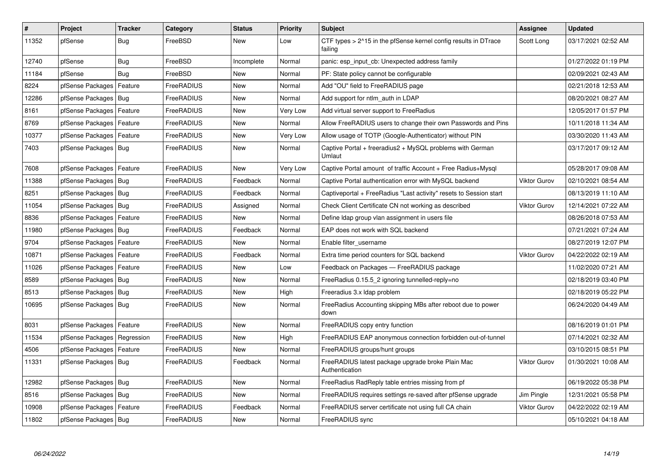| $\vert$ # | Project                    | <b>Tracker</b> | Category   | <b>Status</b> | <b>Priority</b> | <b>Subject</b>                                                             | Assignee            | <b>Updated</b>      |
|-----------|----------------------------|----------------|------------|---------------|-----------------|----------------------------------------------------------------------------|---------------------|---------------------|
| 11352     | pfSense                    | <b>Bug</b>     | FreeBSD    | New           | Low             | CTF types > 2^15 in the pfSense kernel config results in DTrace<br>failing | Scott Long          | 03/17/2021 02:52 AM |
| 12740     | pfSense                    | Bug            | FreeBSD    | Incomplete    | Normal          | panic: esp input cb: Unexpected address family                             |                     | 01/27/2022 01:19 PM |
| 11184     | pfSense                    | Bug            | FreeBSD    | New           | Normal          | PF: State policy cannot be configurable                                    |                     | 02/09/2021 02:43 AM |
| 8224      | pfSense Packages           | Feature        | FreeRADIUS | New           | Normal          | Add "OU" field to FreeRADIUS page                                          |                     | 02/21/2018 12:53 AM |
| 12286     | pfSense Packages   Bug     |                | FreeRADIUS | New           | Normal          | Add support for ntlm auth in LDAP                                          |                     | 08/20/2021 08:27 AM |
| 8161      | pfSense Packages           | Feature        | FreeRADIUS | New           | Very Low        | Add virtual server support to FreeRadius                                   |                     | 12/05/2017 01:57 PM |
| 8769      | pfSense Packages   Feature |                | FreeRADIUS | New           | Normal          | Allow FreeRADIUS users to change their own Passwords and Pins              |                     | 10/11/2018 11:34 AM |
| 10377     | pfSense Packages   Feature |                | FreeRADIUS | New           | Very Low        | Allow usage of TOTP (Google-Authenticator) without PIN                     |                     | 03/30/2020 11:43 AM |
| 7403      | pfSense Packages   Bug     |                | FreeRADIUS | New           | Normal          | Captive Portal + freeradius2 + MySQL problems with German<br>Umlaut        |                     | 03/17/2017 09:12 AM |
| 7608      | pfSense Packages   Feature |                | FreeRADIUS | <b>New</b>    | Very Low        | Captive Portal amount of traffic Account + Free Radius+Mysql               |                     | 05/28/2017 09:08 AM |
| 11388     | pfSense Packages   Bug     |                | FreeRADIUS | Feedback      | Normal          | Captive Portal authentication error with MySQL backend                     | <b>Viktor Gurov</b> | 02/10/2021 08:54 AM |
| 8251      | pfSense Packages   Bug     |                | FreeRADIUS | Feedback      | Normal          | Captiveportal + FreeRadius "Last activity" resets to Session start         |                     | 08/13/2019 11:10 AM |
| 11054     | pfSense Packages   Bug     |                | FreeRADIUS | Assigned      | Normal          | Check Client Certificate CN not working as described                       | <b>Viktor Gurov</b> | 12/14/2021 07:22 AM |
| 8836      | pfSense Packages           | Feature        | FreeRADIUS | New           | Normal          | Define Idap group vlan assignment in users file                            |                     | 08/26/2018 07:53 AM |
| 11980     | pfSense Packages   Bug     |                | FreeRADIUS | Feedback      | Normal          | EAP does not work with SQL backend                                         |                     | 07/21/2021 07:24 AM |
| 9704      | pfSense Packages   Feature |                | FreeRADIUS | New           | Normal          | Enable filter username                                                     |                     | 08/27/2019 12:07 PM |
| 10871     | pfSense Packages   Feature |                | FreeRADIUS | Feedback      | Normal          | Extra time period counters for SQL backend                                 | <b>Viktor Gurov</b> | 04/22/2022 02:19 AM |
| 11026     | pfSense Packages   Feature |                | FreeRADIUS | New           | Low             | Feedback on Packages - FreeRADIUS package                                  |                     | 11/02/2020 07:21 AM |
| 8589      | pfSense Packages   Bug     |                | FreeRADIUS | New           | Normal          | FreeRadius 0.15.5_2 ignoring tunnelled-reply=no                            |                     | 02/18/2019 03:40 PM |
| 8513      | pfSense Packages   Bug     |                | FreeRADIUS | New           | High            | Freeradius 3.x Idap problem                                                |                     | 02/18/2019 05:22 PM |
| 10695     | pfSense Packages   Bug     |                | FreeRADIUS | New           | Normal          | Free Radius Accounting skipping MBs after reboot due to power<br>down      |                     | 06/24/2020 04:49 AM |
| 8031      | pfSense Packages           | Feature        | FreeRADIUS | <b>New</b>    | Normal          | FreeRADIUS copy entry function                                             |                     | 08/16/2019 01:01 PM |
| 11534     | pfSense Packages           | Regression     | FreeRADIUS | New           | High            | FreeRADIUS EAP anonymous connection forbidden out-of-tunnel                |                     | 07/14/2021 02:32 AM |
| 4506      | pfSense Packages   Feature |                | FreeRADIUS | <b>New</b>    | Normal          | FreeRADIUS groups/hunt groups                                              |                     | 03/10/2015 08:51 PM |
| 11331     | pfSense Packages   Bug     |                | FreeRADIUS | Feedback      | Normal          | FreeRADIUS latest package upgrade broke Plain Mac<br>Authentication        | <b>Viktor Gurov</b> | 01/30/2021 10:08 AM |
| 12982     | pfSense Packages   Bug     |                | FreeRADIUS | New           | Normal          | FreeRadius RadReply table entries missing from pf                          |                     | 06/19/2022 05:38 PM |
| 8516      | pfSense Packages   Bug     |                | FreeRADIUS | New           | Normal          | FreeRADIUS requires settings re-saved after pfSense upgrade                | Jim Pingle          | 12/31/2021 05:58 PM |
| 10908     | pfSense Packages   Feature |                | FreeRADIUS | Feedback      | Normal          | FreeRADIUS server certificate not using full CA chain                      | <b>Viktor Gurov</b> | 04/22/2022 02:19 AM |
| 11802     | pfSense Packages   Bug     |                | FreeRADIUS | New           | Normal          | FreeRADIUS sync                                                            |                     | 05/10/2021 04:18 AM |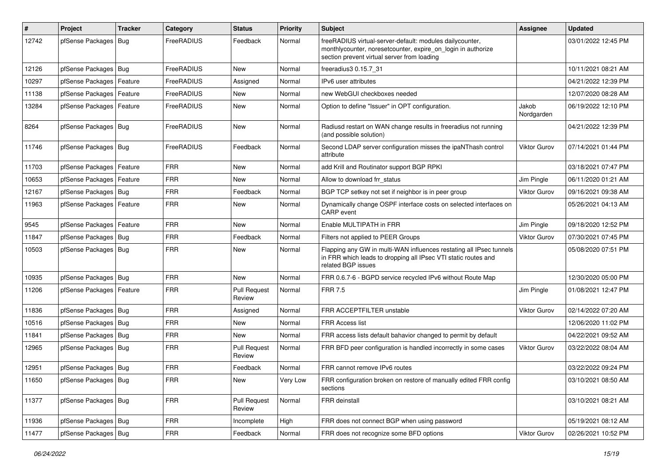| #     | Project                    | <b>Tracker</b> | Category   | <b>Status</b>                 | <b>Priority</b> | <b>Subject</b>                                                                                                                                                          | Assignee            | <b>Updated</b>      |
|-------|----------------------------|----------------|------------|-------------------------------|-----------------|-------------------------------------------------------------------------------------------------------------------------------------------------------------------------|---------------------|---------------------|
| 12742 | pfSense Packages           | Bug            | FreeRADIUS | Feedback                      | Normal          | freeRADIUS virtual-server-default: modules dailycounter,<br>monthlycounter, noresetcounter, expire_on_login in authorize<br>section prevent virtual server from loading |                     | 03/01/2022 12:45 PM |
| 12126 | pfSense Packages   Bug     |                | FreeRADIUS | New                           | Normal          | freeradius3 0.15.7_31                                                                                                                                                   |                     | 10/11/2021 08:21 AM |
| 10297 | pfSense Packages           | Feature        | FreeRADIUS | Assigned                      | Normal          | IPv6 user attributes                                                                                                                                                    |                     | 04/21/2022 12:39 PM |
| 11138 | pfSense Packages   Feature |                | FreeRADIUS | New                           | Normal          | new WebGUI checkboxes needed                                                                                                                                            |                     | 12/07/2020 08:28 AM |
| 13284 | pfSense Packages   Feature |                | FreeRADIUS | New                           | Normal          | Option to define "Issuer" in OPT configuration.                                                                                                                         | Jakob<br>Nordgarden | 06/19/2022 12:10 PM |
| 8264  | pfSense Packages   Bug     |                | FreeRADIUS | New                           | Normal          | Radiusd restart on WAN change results in freeradius not running<br>(and possible solution)                                                                              |                     | 04/21/2022 12:39 PM |
| 11746 | pfSense Packages   Bug     |                | FreeRADIUS | Feedback                      | Normal          | Second LDAP server configuration misses the ipaNThash control<br>attribute                                                                                              | Viktor Gurov        | 07/14/2021 01:44 PM |
| 11703 | pfSense Packages   Feature |                | <b>FRR</b> | <b>New</b>                    | Normal          | add Krill and Routinator support BGP RPKI                                                                                                                               |                     | 03/18/2021 07:47 PM |
| 10653 | pfSense Packages   Feature |                | <b>FRR</b> | New                           | Normal          | Allow to download frr_status                                                                                                                                            | Jim Pingle          | 06/11/2020 01:21 AM |
| 12167 | pfSense Packages   Bug     |                | <b>FRR</b> | Feedback                      | Normal          | BGP TCP setkey not set if neighbor is in peer group                                                                                                                     | <b>Viktor Gurov</b> | 09/16/2021 09:38 AM |
| 11963 | pfSense Packages   Feature |                | <b>FRR</b> | New                           | Normal          | Dynamically change OSPF interface costs on selected interfaces on<br>CARP event                                                                                         |                     | 05/26/2021 04:13 AM |
| 9545  | pfSense Packages   Feature |                | <b>FRR</b> | New                           | Normal          | Enable MULTIPATH in FRR                                                                                                                                                 | Jim Pingle          | 09/18/2020 12:52 PM |
| 11847 | pfSense Packages   Bug     |                | <b>FRR</b> | Feedback                      | Normal          | Filters not applied to PEER Groups                                                                                                                                      | Viktor Gurov        | 07/30/2021 07:45 PM |
| 10503 | pfSense Packages   Bug     |                | <b>FRR</b> | New                           | Normal          | Flapping any GW in multi-WAN influences restating all IPsec tunnels<br>in FRR which leads to dropping all IPsec VTI static routes and<br>related BGP issues             |                     | 05/08/2020 07:51 PM |
| 10935 | pfSense Packages   Bug     |                | <b>FRR</b> | <b>New</b>                    | Normal          | FRR 0.6.7-6 - BGPD service recycled IPv6 without Route Map                                                                                                              |                     | 12/30/2020 05:00 PM |
| 11206 | pfSense Packages   Feature |                | <b>FRR</b> | Pull Request<br>Review        | Normal          | <b>FRR 7.5</b>                                                                                                                                                          | Jim Pingle          | 01/08/2021 12:47 PM |
| 11836 | pfSense Packages   Bug     |                | <b>FRR</b> | Assigned                      | Normal          | FRR ACCEPTFILTER unstable                                                                                                                                               | <b>Viktor Gurov</b> | 02/14/2022 07:20 AM |
| 10516 | pfSense Packages           | Bug            | <b>FRR</b> | New                           | Normal          | <b>FRR Access list</b>                                                                                                                                                  |                     | 12/06/2020 11:02 PM |
| 11841 | pfSense Packages   Bug     |                | <b>FRR</b> | New                           | Normal          | FRR access lists default bahavior changed to permit by default                                                                                                          |                     | 04/22/2021 09:52 AM |
| 12965 | pfSense Packages   Bug     |                | <b>FRR</b> | Pull Request<br>Review        | Normal          | FRR BFD peer configuration is handled incorrectly in some cases                                                                                                         | <b>Viktor Gurov</b> | 03/22/2022 08:04 AM |
| 12951 | pfSense Packages   Bug     |                | <b>FRR</b> | Feedback                      | Normal          | FRR cannot remove IPv6 routes                                                                                                                                           |                     | 03/22/2022 09:24 PM |
| 11650 | pfSense Packages   Bug     |                | <b>FRR</b> | New                           | Very Low        | FRR configuration broken on restore of manually edited FRR config<br>sections                                                                                           |                     | 03/10/2021 08:50 AM |
| 11377 | pfSense Packages   Bug     |                | <b>FRR</b> | <b>Pull Request</b><br>Review | Normal          | FRR deinstall                                                                                                                                                           |                     | 03/10/2021 08:21 AM |
| 11936 | pfSense Packages   Bug     |                | <b>FRR</b> | Incomplete                    | High            | FRR does not connect BGP when using password                                                                                                                            |                     | 05/19/2021 08:12 AM |
| 11477 | pfSense Packages   Bug     |                | <b>FRR</b> | Feedback                      | Normal          | FRR does not recognize some BFD options                                                                                                                                 | Viktor Gurov        | 02/26/2021 10:52 PM |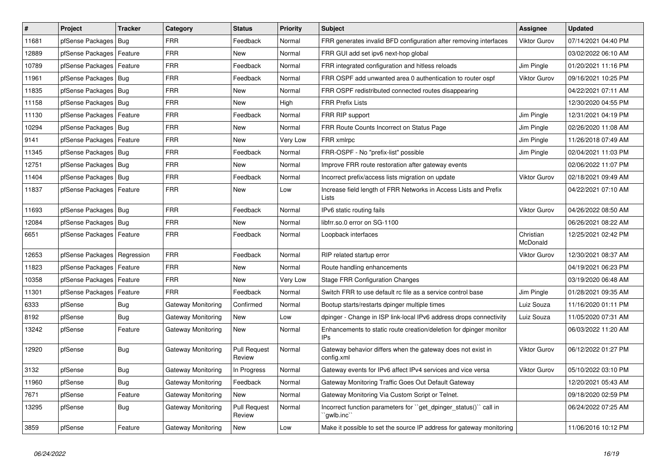| #     | Project                    | <b>Tracker</b> | Category                  | <b>Status</b>                 | <b>Priority</b> | <b>Subject</b>                                                                    | Assignee              | <b>Updated</b>      |
|-------|----------------------------|----------------|---------------------------|-------------------------------|-----------------|-----------------------------------------------------------------------------------|-----------------------|---------------------|
| 11681 | pfSense Packages           | Bug            | <b>FRR</b>                | Feedback                      | Normal          | FRR generates invalid BFD configuration after removing interfaces                 | <b>Viktor Gurov</b>   | 07/14/2021 04:40 PM |
| 12889 | pfSense Packages   Feature |                | <b>FRR</b>                | New                           | Normal          | FRR GUI add set ipv6 next-hop global                                              |                       | 03/02/2022 06:10 AM |
| 10789 | pfSense Packages           | Feature        | <b>FRR</b>                | Feedback                      | Normal          | FRR integrated configuration and hitless reloads                                  | Jim Pingle            | 01/20/2021 11:16 PM |
| 11961 | pfSense Packages   Bug     |                | FRR                       | Feedback                      | Normal          | FRR OSPF add unwanted area 0 authentication to router ospf                        | <b>Viktor Gurov</b>   | 09/16/2021 10:25 PM |
| 11835 | pfSense Packages   Bug     |                | <b>FRR</b>                | New                           | Normal          | FRR OSPF redistributed connected routes disappearing                              |                       | 04/22/2021 07:11 AM |
| 11158 | pfSense Packages   Bug     |                | <b>FRR</b>                | <b>New</b>                    | High            | <b>FRR Prefix Lists</b>                                                           |                       | 12/30/2020 04:55 PM |
| 11130 | pfSense Packages   Feature |                | <b>FRR</b>                | Feedback                      | Normal          | FRR RIP support                                                                   | Jim Pingle            | 12/31/2021 04:19 PM |
| 10294 | pfSense Packages   Bug     |                | <b>FRR</b>                | New                           | Normal          | FRR Route Counts Incorrect on Status Page                                         | Jim Pingle            | 02/26/2020 11:08 AM |
| 9141  | pfSense Packages           | Feature        | FRR                       | New                           | Very Low        | FRR xmlrpc                                                                        | Jim Pingle            | 11/26/2018 07:49 AM |
| 11345 | pfSense Packages   Bug     |                | FRR                       | Feedback                      | Normal          | FRR-OSPF - No "prefix-list" possible                                              | Jim Pingle            | 02/04/2021 11:03 PM |
| 12751 | pfSense Packages   Bug     |                | <b>FRR</b>                | New                           | Normal          | Improve FRR route restoration after gateway events                                |                       | 02/06/2022 11:07 PM |
| 11404 | pfSense Packages   Bug     |                | FRR                       | Feedback                      | Normal          | Incorrect prefix/access lists migration on update                                 | <b>Viktor Gurov</b>   | 02/18/2021 09:49 AM |
| 11837 | pfSense Packages   Feature |                | <b>FRR</b>                | New                           | Low             | Increase field length of FRR Networks in Access Lists and Prefix<br>Lists         |                       | 04/22/2021 07:10 AM |
| 11693 | pfSense Packages   Bug     |                | <b>FRR</b>                | Feedback                      | Normal          | IPv6 static routing fails                                                         | <b>Viktor Gurov</b>   | 04/26/2022 08:50 AM |
| 12084 | pfSense Packages   Bug     |                | <b>FRR</b>                | <b>New</b>                    | Normal          | libfrr.so.0 error on SG-1100                                                      |                       | 06/26/2021 08:22 AM |
| 6651  | pfSense Packages   Feature |                | <b>FRR</b>                | Feedback                      | Normal          | Loopback interfaces                                                               | Christian<br>McDonald | 12/25/2021 02:42 PM |
| 12653 | pfSense Packages           | Regression     | <b>FRR</b>                | Feedback                      | Normal          | RIP related startup error                                                         | <b>Viktor Gurov</b>   | 12/30/2021 08:37 AM |
| 11823 | pfSense Packages   Feature |                | <b>FRR</b>                | <b>New</b>                    | Normal          | Route handling enhancements                                                       |                       | 04/19/2021 06:23 PM |
| 10358 | pfSense Packages           | Feature        | <b>FRR</b>                | New                           | Very Low        | <b>Stage FRR Configuration Changes</b>                                            |                       | 03/19/2020 06:48 AM |
| 11301 | pfSense Packages           | Feature        | FRR                       | Feedback                      | Normal          | Switch FRR to use default rc file as a service control base                       | Jim Pingle            | 01/28/2021 09:35 AM |
| 6333  | pfSense                    | <b>Bug</b>     | Gateway Monitoring        | Confirmed                     | Normal          | Bootup starts/restarts dpinger multiple times                                     | Luiz Souza            | 11/16/2020 01:11 PM |
| 8192  | pfSense                    | <b>Bug</b>     | Gateway Monitoring        | <b>New</b>                    | Low             | dpinger - Change in ISP link-local IPv6 address drops connectivity                | Luiz Souza            | 11/05/2020 07:31 AM |
| 13242 | pfSense                    | Feature        | Gateway Monitoring        | New                           | Normal          | Enhancements to static route creation/deletion for dpinger monitor<br>IPs         |                       | 06/03/2022 11:20 AM |
| 12920 | pfSense                    | Bug            | <b>Gateway Monitoring</b> | <b>Pull Request</b><br>Review | Normal          | Gateway behavior differs when the gateway does not exist in<br>config.xml         | <b>Viktor Gurov</b>   | 06/12/2022 01:27 PM |
| 3132  | pfSense                    | <b>Bug</b>     | Gateway Monitoring        | In Progress                   | Normal          | Gateway events for IPv6 affect IPv4 services and vice versa                       | <b>Viktor Gurov</b>   | 05/10/2022 03:10 PM |
| 11960 | pfSense                    | Bug            | Gateway Monitoring        | Feedback                      | Normal          | Gateway Monitoring Traffic Goes Out Default Gateway                               |                       | 12/20/2021 05:43 AM |
| 7671  | pfSense                    | Feature        | Gateway Monitoring        | New                           | Normal          | Gateway Monitoring Via Custom Script or Telnet.                                   |                       | 09/18/2020 02:59 PM |
| 13295 | pfSense                    | <b>Bug</b>     | Gateway Monitoring        | <b>Pull Request</b><br>Review | Normal          | Incorrect function parameters for ``get_dpinger_status()`` call in<br>`qwlb.inc`` |                       | 06/24/2022 07:25 AM |
| 3859  | pfSense                    | Feature        | Gateway Monitoring        | New                           | Low             | Make it possible to set the source IP address for gateway monitoring              |                       | 11/06/2016 10:12 PM |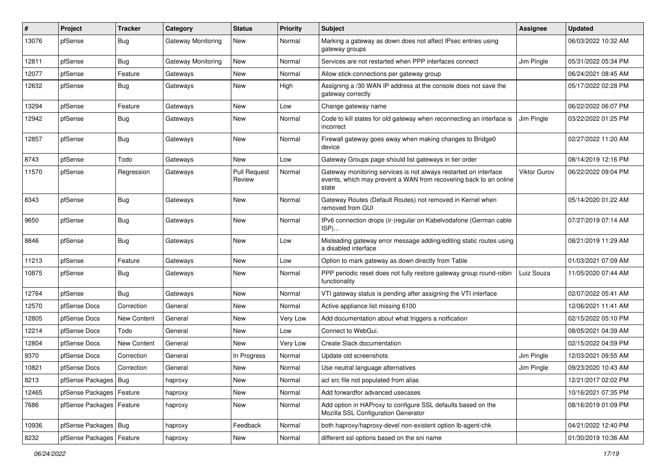| #     | Project                    | <b>Tracker</b>     | Category                  | <b>Status</b>                 | <b>Priority</b> | <b>Subject</b>                                                                                                                                 | <b>Assignee</b> | <b>Updated</b>      |
|-------|----------------------------|--------------------|---------------------------|-------------------------------|-----------------|------------------------------------------------------------------------------------------------------------------------------------------------|-----------------|---------------------|
| 13076 | pfSense                    | <b>Bug</b>         | Gateway Monitoring        | New                           | Normal          | Marking a gateway as down does not affect IPsec entries using<br>gateway groups                                                                |                 | 06/03/2022 10:32 AM |
| 12811 | pfSense                    | <b>Bug</b>         | <b>Gateway Monitoring</b> | New                           | Normal          | Services are not restarted when PPP interfaces connect                                                                                         | Jim Pingle      | 05/31/2022 05:34 PM |
| 12077 | pfSense                    | Feature            | Gateways                  | New                           | Normal          | Allow stick-connections per gateway group                                                                                                      |                 | 06/24/2021 08:45 AM |
| 12632 | pfSense                    | <b>Bug</b>         | Gateways                  | <b>New</b>                    | High            | Assigning a /30 WAN IP address at the console does not save the<br>gateway correctly                                                           |                 | 05/17/2022 02:28 PM |
| 13294 | pfSense                    | Feature            | Gateways                  | New                           | Low             | Change gateway name                                                                                                                            |                 | 06/22/2022 06:07 PM |
| 12942 | pfSense                    | <b>Bug</b>         | Gateways                  | New                           | Normal          | Code to kill states for old gateway when reconnecting an interface is<br>incorrect                                                             | Jim Pingle      | 03/22/2022 01:25 PM |
| 12857 | pfSense                    | Bug                | Gateways                  | <b>New</b>                    | Normal          | Firewall gateway goes away when making changes to Bridge0<br>device                                                                            |                 | 02/27/2022 11:20 AM |
| 8743  | pfSense                    | Todo               | Gateways                  | New                           | Low             | Gateway Groups page should list gateways in tier order                                                                                         |                 | 08/14/2019 12:16 PM |
| 11570 | pfSense                    | Regression         | Gateways                  | <b>Pull Request</b><br>Review | Normal          | Gateway monitoring services is not always restarted on interface<br>events, which may prevent a WAN from recovering back to an online<br>state | Viktor Gurov    | 06/22/2022 09:04 PM |
| 8343  | pfSense                    | <b>Bug</b>         | Gateways                  | <b>New</b>                    | Normal          | Gateway Routes (Default Routes) not removed in Kernel when<br>removed from GUI                                                                 |                 | 05/14/2020 01:22 AM |
| 9650  | pfSense                    | <b>Bug</b>         | Gateways                  | New                           | Normal          | IPv6 connection drops (ir-)regular on Kabelvodafone (German cable<br>ISP)                                                                      |                 | 07/27/2019 07:14 AM |
| 8846  | pfSense                    | Bug                | Gateways                  | New                           | Low             | Misleading gateway error message adding/editing static routes using<br>a disabled interface                                                    |                 | 08/21/2019 11:29 AM |
| 11213 | pfSense                    | Feature            | Gateways                  | New                           | Low             | Option to mark gateway as down directly from Table                                                                                             |                 | 01/03/2021 07:09 AM |
| 10875 | pfSense                    | Bug                | Gateways                  | New                           | Normal          | PPP periodic reset does not fully restore gateway group round-robin<br>functionality                                                           | Luiz Souza      | 11/05/2020 07:44 AM |
| 12764 | pfSense                    | <b>Bug</b>         | Gateways                  | New                           | Normal          | VTI gateway status is pending after assigning the VTI interface                                                                                |                 | 02/07/2022 05:41 AM |
| 12570 | pfSense Docs               | Correction         | General                   | New                           | Normal          | Active appliance list missing 6100                                                                                                             |                 | 12/06/2021 11:41 AM |
| 12805 | pfSense Docs               | New Content        | General                   | New                           | Very Low        | Add documentation about what triggers a notfication                                                                                            |                 | 02/15/2022 05:10 PM |
| 12214 | pfSense Docs               | Todo               | General                   | New                           | Low             | Connect to WebGui.                                                                                                                             |                 | 08/05/2021 04:39 AM |
| 12804 | pfSense Docs               | <b>New Content</b> | General                   | New                           | Very Low        | Create Slack documentation                                                                                                                     |                 | 02/15/2022 04:59 PM |
| 9370  | pfSense Docs               | Correction         | General                   | In Progress                   | Normal          | Update old screenshots                                                                                                                         | Jim Pingle      | 12/03/2021 09:55 AM |
| 10821 | pfSense Docs               | Correction         | General                   | New                           | Normal          | Use neutral language alternatives                                                                                                              | Jim Pingle      | 09/23/2020 10:43 AM |
| 8213  | pfSense Packages   Bug     |                    | haproxy                   | New                           | Normal          | acl src file not populated from alias                                                                                                          |                 | 12/21/2017 02:02 PM |
| 12465 | pfSense Packages   Feature |                    | haproxy                   | New                           | Normal          | Add forwardfor advanced usecases                                                                                                               |                 | 10/16/2021 07:35 PM |
| 7686  | pfSense Packages   Feature |                    | haproxy                   | New                           | Normal          | Add option in HAProxy to configure SSL defaults based on the<br>Mozilla SSL Configuration Generator                                            |                 | 08/16/2019 01:09 PM |
| 10936 | pfSense Packages   Bug     |                    | haproxy                   | Feedback                      | Normal          | both haproxy/haproxy-devel non-existent option lb-agent-chk                                                                                    |                 | 04/21/2022 12:40 PM |
| 8232  | pfSense Packages   Feature |                    | haproxy                   | New                           | Normal          | different ssl options based on the sni name                                                                                                    |                 | 01/30/2019 10:36 AM |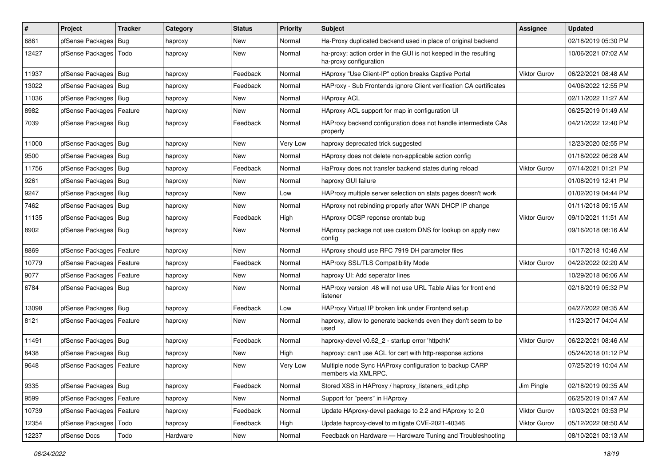| $\vert$ # | Project                    | <b>Tracker</b> | Category | <b>Status</b> | <b>Priority</b> | <b>Subject</b>                                                                             | Assignee            | <b>Updated</b>      |
|-----------|----------------------------|----------------|----------|---------------|-----------------|--------------------------------------------------------------------------------------------|---------------------|---------------------|
| 6861      | pfSense Packages           | Bug            | haproxy  | New           | Normal          | Ha-Proxy duplicated backend used in place of original backend                              |                     | 02/18/2019 05:30 PM |
| 12427     | pfSense Packages   Todo    |                | haproxy  | New           | Normal          | ha-proxy: action order in the GUI is not keeped in the resulting<br>ha-proxy configuration |                     | 10/06/2021 07:02 AM |
| 11937     | pfSense Packages   Bug     |                | haproxy  | Feedback      | Normal          | HAproxy "Use Client-IP" option breaks Captive Portal                                       | <b>Viktor Gurov</b> | 06/22/2021 08:48 AM |
| 13022     | pfSense Packages           | Bug            | haproxy  | Feedback      | Normal          | HAProxy - Sub Frontends ignore Client verification CA certificates                         |                     | 04/06/2022 12:55 PM |
| 11036     | pfSense Packages   Bug     |                | haproxy  | New           | Normal          | <b>HAproxy ACL</b>                                                                         |                     | 02/11/2022 11:27 AM |
| 8982      | pfSense Packages   Feature |                | haproxy  | New           | Normal          | HAproxy ACL support for map in configuration UI                                            |                     | 06/25/2019 01:49 AM |
| 7039      | pfSense Packages   Bug     |                | haproxy  | Feedback      | Normal          | HAProxy backend configuration does not handle intermediate CAs<br>properly                 |                     | 04/21/2022 12:40 PM |
| 11000     | pfSense Packages   Bug     |                | haproxy  | New           | Very Low        | haproxy deprecated trick suggested                                                         |                     | 12/23/2020 02:55 PM |
| 9500      | pfSense Packages   Bug     |                | haproxy  | New           | Normal          | HAproxy does not delete non-applicable action config                                       |                     | 01/18/2022 06:28 AM |
| 11756     | pfSense Packages   Bug     |                | haproxy  | Feedback      | Normal          | HaProxy does not transfer backend states during reload                                     | <b>Viktor Gurov</b> | 07/14/2021 01:21 PM |
| 9261      | pfSense Packages   Bug     |                | haproxy  | New           | Normal          | haproxy GUI failure                                                                        |                     | 01/08/2019 12:41 PM |
| 9247      | pfSense Packages   Bug     |                | haproxy  | New           | Low             | HAProxy multiple server selection on stats pages doesn't work                              |                     | 01/02/2019 04:44 PM |
| 7462      | pfSense Packages   Bug     |                | haproxy  | New           | Normal          | HAproxy not rebinding properly after WAN DHCP IP change                                    |                     | 01/11/2018 09:15 AM |
| 11135     | pfSense Packages   Bug     |                | haproxy  | Feedback      | High            | HAproxy OCSP reponse crontab bug                                                           | Viktor Gurov        | 09/10/2021 11:51 AM |
| 8902      | pfSense Packages   Bug     |                | haproxy  | New           | Normal          | HAproxy package not use custom DNS for lookup on apply new<br>config                       |                     | 09/16/2018 08:16 AM |
| 8869      | pfSense Packages   Feature |                | haproxy  | New           | Normal          | HAproxy should use RFC 7919 DH parameter files                                             |                     | 10/17/2018 10:46 AM |
| 10779     | pfSense Packages   Feature |                | haproxy  | Feedback      | Normal          | HAProxy SSL/TLS Compatibility Mode                                                         | <b>Viktor Gurov</b> | 04/22/2022 02:20 AM |
| 9077      | pfSense Packages           | Feature        | haproxy  | <b>New</b>    | Normal          | haproxy UI: Add seperator lines                                                            |                     | 10/29/2018 06:06 AM |
| 6784      | pfSense Packages   Bug     |                | haproxy  | New           | Normal          | HAProxy version .48 will not use URL Table Alias for front end<br>listener                 |                     | 02/18/2019 05:32 PM |
| 13098     | pfSense Packages   Bug     |                | haproxy  | Feedback      | Low             | HAProxy Virtual IP broken link under Frontend setup                                        |                     | 04/27/2022 08:35 AM |
| 8121      | pfSense Packages   Feature |                | haproxy  | New           | Normal          | haproxy, allow to generate backends even they don't seem to be<br>used                     |                     | 11/23/2017 04:04 AM |
| 11491     | pfSense Packages   Bug     |                | haproxy  | Feedback      | Normal          | haproxy-devel v0.62 2 - startup error 'httpchk'                                            | Viktor Gurov        | 06/22/2021 08:46 AM |
| 8438      | pfSense Packages   Bug     |                | haproxy  | New           | High            | haproxy: can't use ACL for cert with http-response actions                                 |                     | 05/24/2018 01:12 PM |
| 9648      | pfSense Packages   Feature |                | haproxy  | New           | Very Low        | Multiple node Sync HAProxy configuration to backup CARP<br>members via XMLRPC.             |                     | 07/25/2019 10:04 AM |
| 9335      | pfSense Packages   Bug     |                | haproxy  | Feedback      | Normal          | Stored XSS in HAProxy / haproxy listeners edit.php                                         | Jim Pingle          | 02/18/2019 09:35 AM |
| 9599      | pfSense Packages           | Feature        | haproxy  | New           | Normal          | Support for "peers" in HAproxy                                                             |                     | 06/25/2019 01:47 AM |
| 10739     | pfSense Packages   Feature |                | haproxy  | Feedback      | Normal          | Update HAproxy-devel package to 2.2 and HAproxy to 2.0                                     | Viktor Gurov        | 10/03/2021 03:53 PM |
| 12354     | pfSense Packages           | Todo           | haproxy  | Feedback      | High            | Update haproxy-devel to mitigate CVE-2021-40346                                            | Viktor Gurov        | 05/12/2022 08:50 AM |
| 12237     | pfSense Docs               | Todo           | Hardware | New           | Normal          | Feedback on Hardware - Hardware Tuning and Troubleshooting                                 |                     | 08/10/2021 03:13 AM |